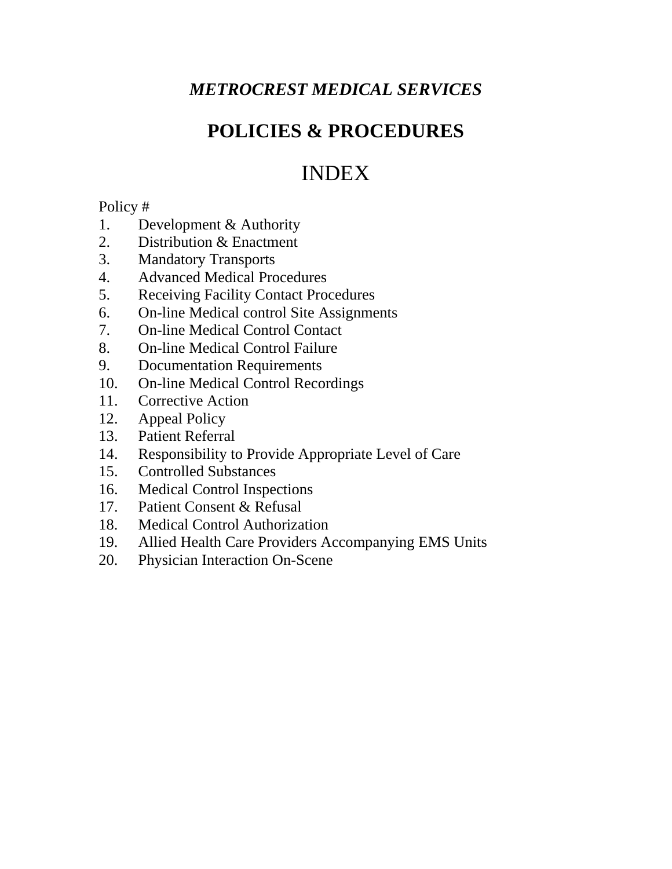# *METROCREST MEDICAL SERVICES*

# **POLICIES & PROCEDURES**

# INDEX

# Policy #

- 1. Development & Authority
- 2. Distribution & Enactment
- 3. Mandatory Transports
- 4. Advanced Medical Procedures
- 5. Receiving Facility Contact Procedures
- 6. On-line Medical control Site Assignments
- 7. On-line Medical Control Contact
- 8. On-line Medical Control Failure
- 9. Documentation Requirements
- 10. On-line Medical Control Recordings
- 11. Corrective Action
- 12. Appeal Policy
- 13. Patient Referral
- 14. Responsibility to Provide Appropriate Level of Care
- 15. Controlled Substances
- 16. Medical Control Inspections
- 17. Patient Consent & Refusal
- 18. Medical Control Authorization
- 19. Allied Health Care Providers Accompanying EMS Units
- 20. Physician Interaction On-Scene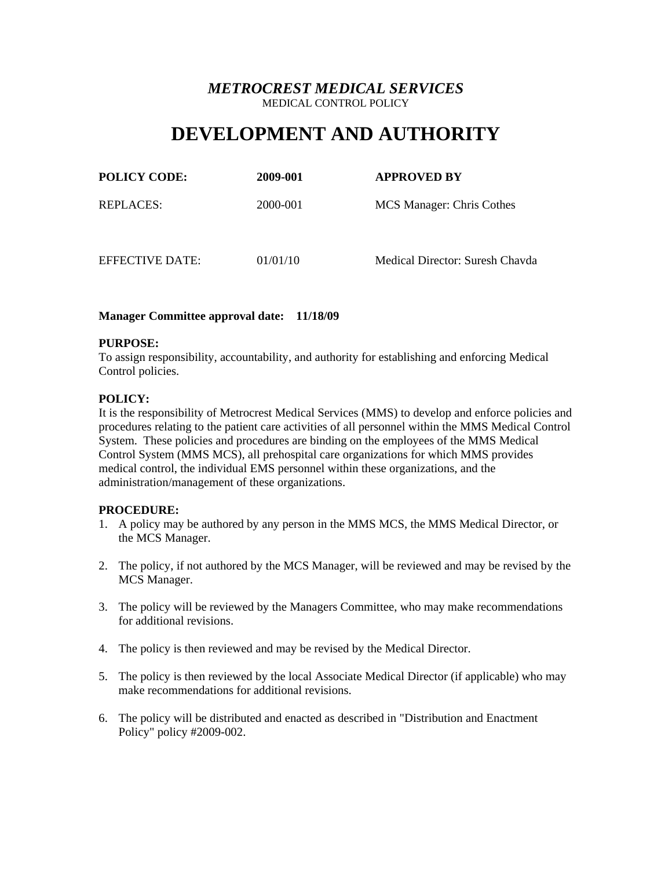# **DEVELOPMENT AND AUTHORITY**

| <b>POLICY CODE:</b> | 2009-001 | <b>APPROVED BY</b>              |
|---------------------|----------|---------------------------------|
| REPLACES:           | 2000-001 | MCS Manager: Chris Cothes       |
| EFFECTIVE DATE:     | 01/01/10 | Medical Director: Suresh Chayda |

## **Manager Committee approval date: 11/18/09**

## **PURPOSE:**

To assign responsibility, accountability, and authority for establishing and enforcing Medical Control policies.

## **POLICY:**

It is the responsibility of Metrocrest Medical Services (MMS) to develop and enforce policies and procedures relating to the patient care activities of all personnel within the MMS Medical Control System. These policies and procedures are binding on the employees of the MMS Medical Control System (MMS MCS), all prehospital care organizations for which MMS provides medical control, the individual EMS personnel within these organizations, and the administration/management of these organizations.

## **PROCEDURE:**

- 1. A policy may be authored by any person in the MMS MCS, the MMS Medical Director, or the MCS Manager.
- 2. The policy, if not authored by the MCS Manager, will be reviewed and may be revised by the MCS Manager.
- 3. The policy will be reviewed by the Managers Committee, who may make recommendations for additional revisions.
- 4. The policy is then reviewed and may be revised by the Medical Director.
- 5. The policy is then reviewed by the local Associate Medical Director (if applicable) who may make recommendations for additional revisions.
- 6. The policy will be distributed and enacted as described in "Distribution and Enactment Policy" policy #2009-002.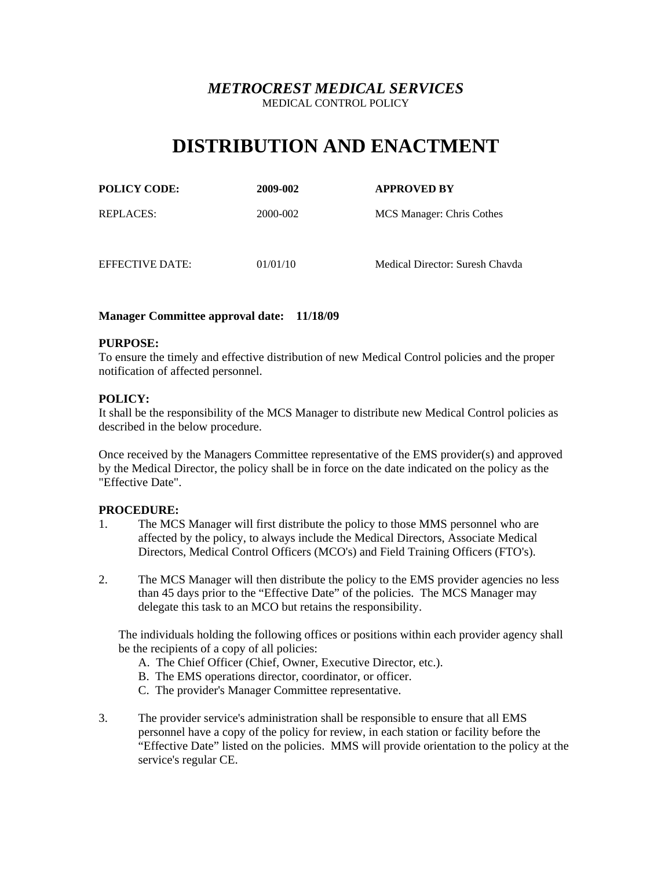# **DISTRIBUTION AND ENACTMENT**

| <b>POLICY CODE:</b> | 2009-002 | <b>APPROVED BY</b>        |
|---------------------|----------|---------------------------|
| REPLACES:           | 2000-002 | MCS Manager: Chris Cothes |
|                     |          |                           |

EFFECTIVE DATE: 01/01/10 Medical Director: Suresh Chavda

## **Manager Committee approval date: 11/18/09**

## **PURPOSE:**

To ensure the timely and effective distribution of new Medical Control policies and the proper notification of affected personnel.

## **POLICY:**

It shall be the responsibility of the MCS Manager to distribute new Medical Control policies as described in the below procedure.

Once received by the Managers Committee representative of the EMS provider(s) and approved by the Medical Director, the policy shall be in force on the date indicated on the policy as the "Effective Date".

## **PROCEDURE:**

- 1. The MCS Manager will first distribute the policy to those MMS personnel who are affected by the policy, to always include the Medical Directors, Associate Medical Directors, Medical Control Officers (MCO's) and Field Training Officers (FTO's).
- 2. The MCS Manager will then distribute the policy to the EMS provider agencies no less than 45 days prior to the "Effective Date" of the policies. The MCS Manager may delegate this task to an MCO but retains the responsibility.

 The individuals holding the following offices or positions within each provider agency shall be the recipients of a copy of all policies:

- A. The Chief Officer (Chief, Owner, Executive Director, etc.).
- B. The EMS operations director, coordinator, or officer.
- C. The provider's Manager Committee representative.
- 3. The provider service's administration shall be responsible to ensure that all EMS personnel have a copy of the policy for review, in each station or facility before the "Effective Date" listed on the policies. MMS will provide orientation to the policy at the service's regular CE.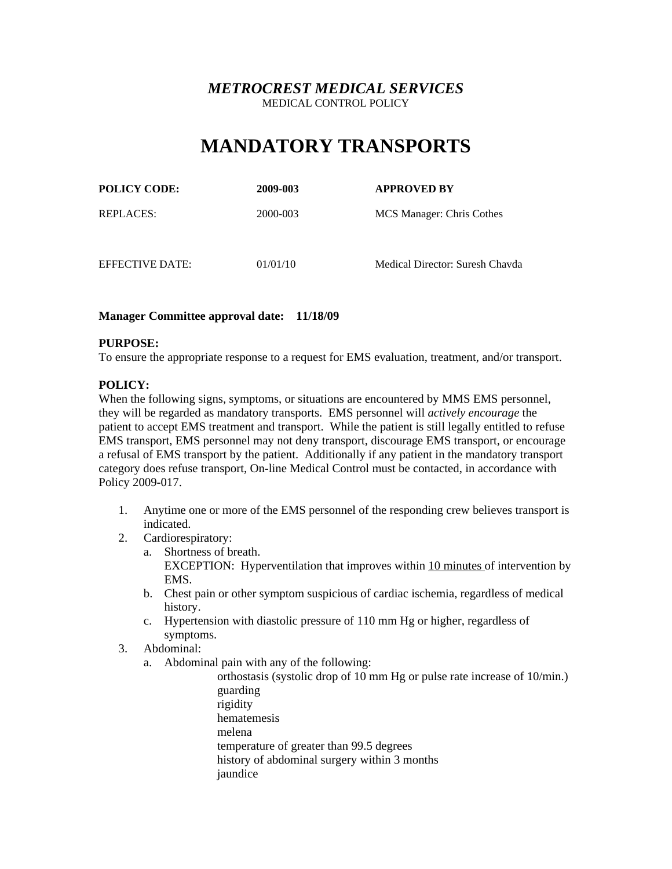# **MANDATORY TRANSPORTS**

| <b>POLICY CODE:</b> | 2009-003 | <b>APPROVED BY</b>              |
|---------------------|----------|---------------------------------|
| REPLACES:           | 2000-003 | MCS Manager: Chris Cothes       |
| EFFECTIVE DATE:     | 01/01/10 | Medical Director: Suresh Chayda |

## **Manager Committee approval date: 11/18/09**

## **PURPOSE:**

To ensure the appropriate response to a request for EMS evaluation, treatment, and/or transport.

## **POLICY:**

When the following signs, symptoms, or situations are encountered by MMS EMS personnel, they will be regarded as mandatory transports. EMS personnel will *actively encourage* the patient to accept EMS treatment and transport. While the patient is still legally entitled to refuse EMS transport, EMS personnel may not deny transport, discourage EMS transport, or encourage a refusal of EMS transport by the patient. Additionally if any patient in the mandatory transport category does refuse transport, On-line Medical Control must be contacted, in accordance with Policy 2009-017.

- 1. Anytime one or more of the EMS personnel of the responding crew believes transport is indicated.
- 2. Cardiorespiratory:
	- a. Shortness of breath. EXCEPTION: Hyperventilation that improves within 10 minutes of intervention by EMS.
	- b. Chest pain or other symptom suspicious of cardiac ischemia, regardless of medical history.
	- c. Hypertension with diastolic pressure of 110 mm Hg or higher, regardless of symptoms.
- 3. Abdominal:
	- a. Abdominal pain with any of the following:
		- orthostasis (systolic drop of 10 mm Hg or pulse rate increase of 10/min.) guarding rigidity hematemesis melena temperature of greater than 99.5 degrees history of abdominal surgery within 3 months jaundice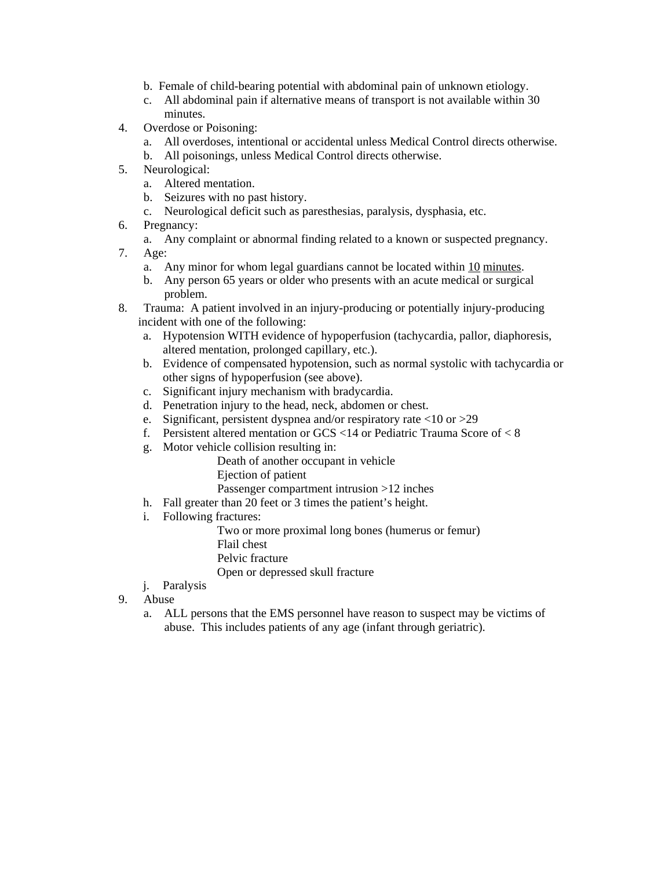- b. Female of child-bearing potential with abdominal pain of unknown etiology.
- c. All abdominal pain if alternative means of transport is not available within 30 minutes.
- 4. Overdose or Poisoning:
	- a. All overdoses, intentional or accidental unless Medical Control directs otherwise.
	- b. All poisonings, unless Medical Control directs otherwise.
- 5. Neurological:
	- a. Altered mentation.
	- b. Seizures with no past history.
	- c. Neurological deficit such as paresthesias, paralysis, dysphasia, etc.
- 6. Pregnancy:
	- a. Any complaint or abnormal finding related to a known or suspected pregnancy.
- 7. Age:
	- a. Any minor for whom legal guardians cannot be located within 10 minutes.
	- b. Any person 65 years or older who presents with an acute medical or surgical problem.
- 8. Trauma: A patient involved in an injury-producing or potentially injury-producing incident with one of the following:
	- a. Hypotension WITH evidence of hypoperfusion (tachycardia, pallor, diaphoresis, altered mentation, prolonged capillary, etc.).
	- b. Evidence of compensated hypotension, such as normal systolic with tachycardia or other signs of hypoperfusion (see above).
	- c. Significant injury mechanism with bradycardia.
	- d. Penetration injury to the head, neck, abdomen or chest.
	- e. Significant, persistent dyspnea and/or respiratory rate <10 or >29
	- f. Persistent altered mentation or GCS <14 or Pediatric Trauma Score of < 8
	- g. Motor vehicle collision resulting in:

 Death of another occupant in vehicle Ejection of patient Passenger compartment intrusion >12 inches

- h. Fall greater than 20 feet or 3 times the patient's height.
- i. Following fractures:

 Two or more proximal long bones (humerus or femur) Flail chest Pelvic fracture Open or depressed skull fracture

- j. Paralysis
- 9. Abuse
	- a. ALL persons that the EMS personnel have reason to suspect may be victims of abuse. This includes patients of any age (infant through geriatric).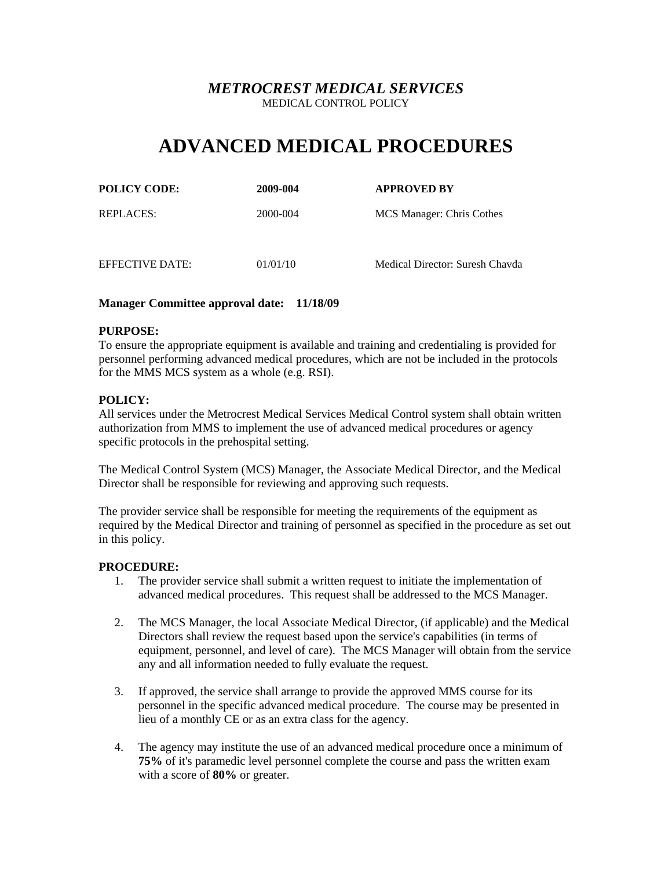# **ADVANCED MEDICAL PROCEDURES**

| <b>POLICY CODE:</b> | 2009-004 | <b>APPROVED BY</b>        |
|---------------------|----------|---------------------------|
| <b>REPLACES:</b>    | 2000-004 | MCS Manager: Chris Cothes |

EFFECTIVE DATE: 01/01/10 Medical Director: Suresh Chavda

## **Manager Committee approval date: 11/18/09**

## **PURPOSE:**

To ensure the appropriate equipment is available and training and credentialing is provided for personnel performing advanced medical procedures, which are not be included in the protocols for the MMS MCS system as a whole (e.g. RSI).

## **POLICY:**

All services under the Metrocrest Medical Services Medical Control system shall obtain written authorization from MMS to implement the use of advanced medical procedures or agency specific protocols in the prehospital setting.

The Medical Control System (MCS) Manager, the Associate Medical Director, and the Medical Director shall be responsible for reviewing and approving such requests.

The provider service shall be responsible for meeting the requirements of the equipment as required by the Medical Director and training of personnel as specified in the procedure as set out in this policy.

## **PROCEDURE:**

- 1. The provider service shall submit a written request to initiate the implementation of advanced medical procedures. This request shall be addressed to the MCS Manager.
- 2. The MCS Manager, the local Associate Medical Director, (if applicable) and the Medical Directors shall review the request based upon the service's capabilities (in terms of equipment, personnel, and level of care). The MCS Manager will obtain from the service any and all information needed to fully evaluate the request.
- 3. If approved, the service shall arrange to provide the approved MMS course for its personnel in the specific advanced medical procedure. The course may be presented in lieu of a monthly CE or as an extra class for the agency.
- 4. The agency may institute the use of an advanced medical procedure once a minimum of **75%** of it's paramedic level personnel complete the course and pass the written exam with a score of **80%** or greater.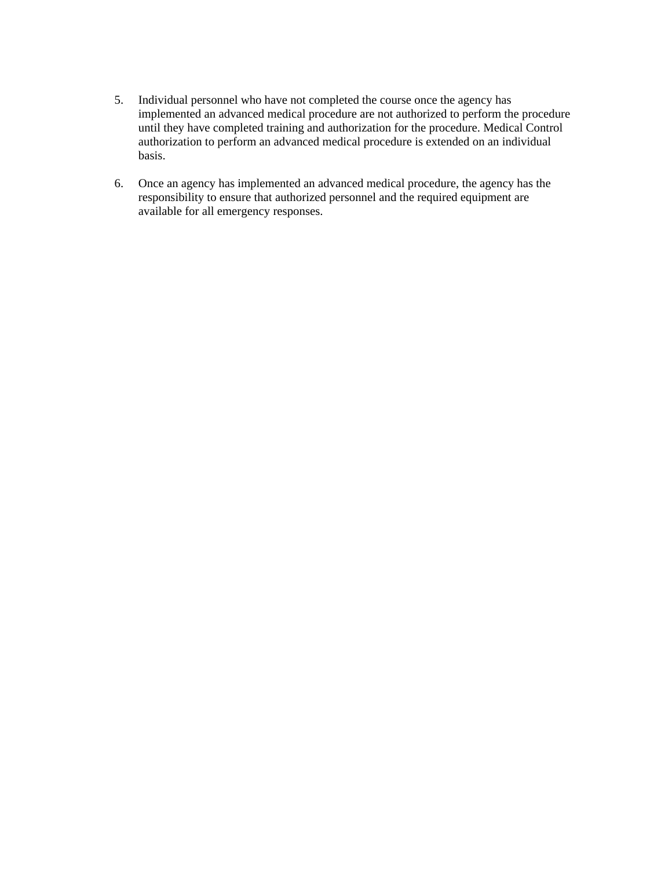- 5. Individual personnel who have not completed the course once the agency has implemented an advanced medical procedure are not authorized to perform the procedure until they have completed training and authorization for the procedure. Medical Control authorization to perform an advanced medical procedure is extended on an individual basis.
- 6. Once an agency has implemented an advanced medical procedure, the agency has the responsibility to ensure that authorized personnel and the required equipment are available for all emergency responses.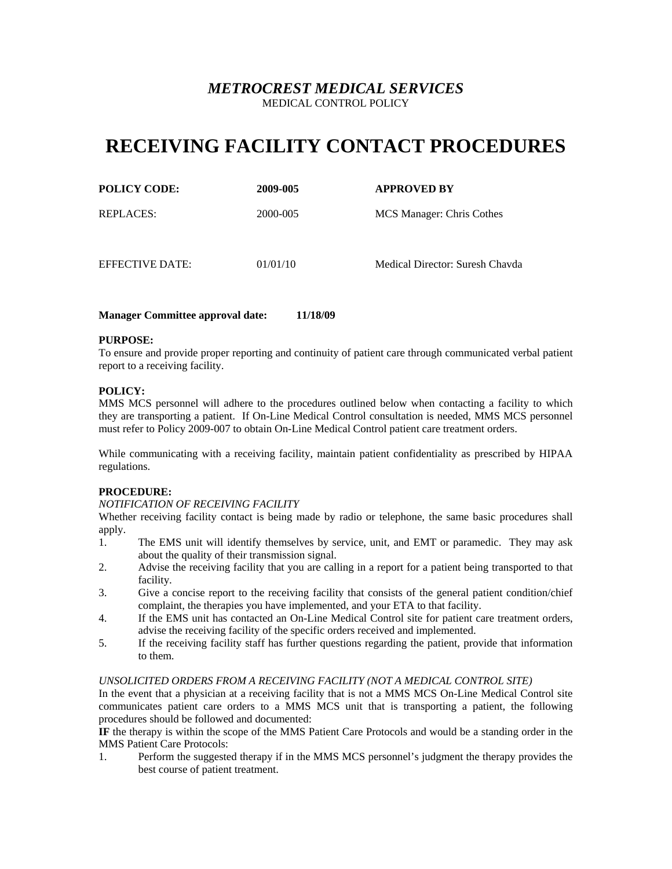# **RECEIVING FACILITY CONTACT PROCEDURES**

| <b>POLICY CODE:</b> | 2009-005 | <b>APPROVED BY</b>        |
|---------------------|----------|---------------------------|
| <b>REPLACES:</b>    | 2000-005 | MCS Manager: Chris Cothes |
|                     |          |                           |

EFFECTIVE DATE: 01/01/10 Medical Director: Suresh Chavda

**Manager Committee approval date: 11/18/09** 

## **PURPOSE:**

To ensure and provide proper reporting and continuity of patient care through communicated verbal patient report to a receiving facility.

## **POLICY:**

MMS MCS personnel will adhere to the procedures outlined below when contacting a facility to which they are transporting a patient. If On-Line Medical Control consultation is needed, MMS MCS personnel must refer to Policy 2009-007 to obtain On-Line Medical Control patient care treatment orders.

While communicating with a receiving facility, maintain patient confidentiality as prescribed by HIPAA regulations.

## **PROCEDURE:**

## *NOTIFICATION OF RECEIVING FACILITY*

Whether receiving facility contact is being made by radio or telephone, the same basic procedures shall apply.

- 1. The EMS unit will identify themselves by service, unit, and EMT or paramedic. They may ask about the quality of their transmission signal.
- 2. Advise the receiving facility that you are calling in a report for a patient being transported to that facility.
- 3. Give a concise report to the receiving facility that consists of the general patient condition/chief complaint, the therapies you have implemented, and your ETA to that facility.
- 4. If the EMS unit has contacted an On-Line Medical Control site for patient care treatment orders, advise the receiving facility of the specific orders received and implemented.
- 5. If the receiving facility staff has further questions regarding the patient, provide that information to them.

### *UNSOLICITED ORDERS FROM A RECEIVING FACILITY (NOT A MEDICAL CONTROL SITE)*

In the event that a physician at a receiving facility that is not a MMS MCS On-Line Medical Control site communicates patient care orders to a MMS MCS unit that is transporting a patient, the following procedures should be followed and documented:

**IF** the therapy is within the scope of the MMS Patient Care Protocols and would be a standing order in the MMS Patient Care Protocols:

1. Perform the suggested therapy if in the MMS MCS personnel's judgment the therapy provides the best course of patient treatment.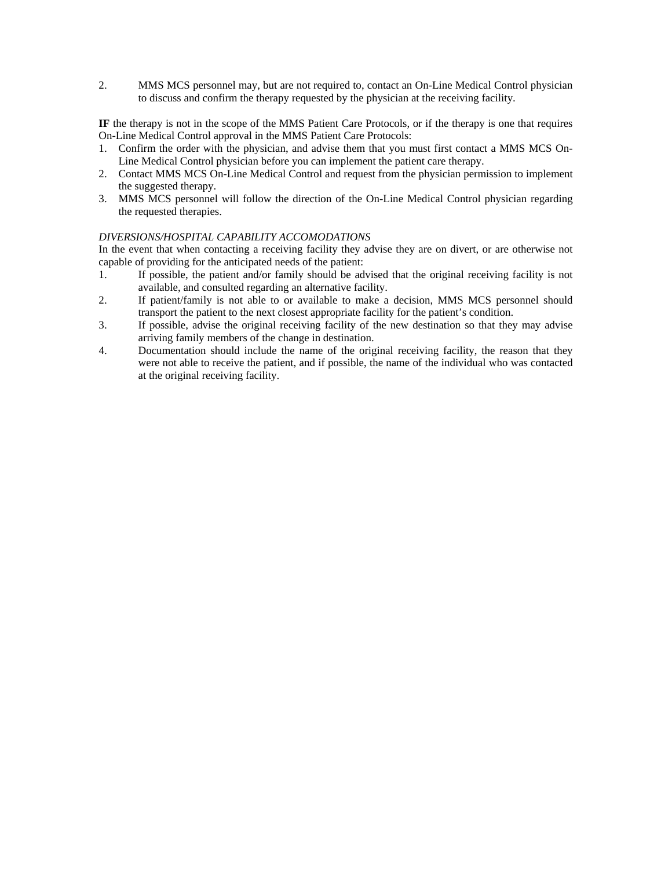2. MMS MCS personnel may, but are not required to, contact an On-Line Medical Control physician to discuss and confirm the therapy requested by the physician at the receiving facility.

**IF** the therapy is not in the scope of the MMS Patient Care Protocols, or if the therapy is one that requires On-Line Medical Control approval in the MMS Patient Care Protocols:

- 1. Confirm the order with the physician, and advise them that you must first contact a MMS MCS On-Line Medical Control physician before you can implement the patient care therapy.
- 2. Contact MMS MCS On-Line Medical Control and request from the physician permission to implement the suggested therapy.
- 3. MMS MCS personnel will follow the direction of the On-Line Medical Control physician regarding the requested therapies.

## *DIVERSIONS/HOSPITAL CAPABILITY ACCOMODATIONS*

In the event that when contacting a receiving facility they advise they are on divert, or are otherwise not capable of providing for the anticipated needs of the patient:

- 1. If possible, the patient and/or family should be advised that the original receiving facility is not available, and consulted regarding an alternative facility.
- 2. If patient/family is not able to or available to make a decision, MMS MCS personnel should transport the patient to the next closest appropriate facility for the patient's condition.
- 3. If possible, advise the original receiving facility of the new destination so that they may advise arriving family members of the change in destination.
- 4. Documentation should include the name of the original receiving facility, the reason that they were not able to receive the patient, and if possible, the name of the individual who was contacted at the original receiving facility.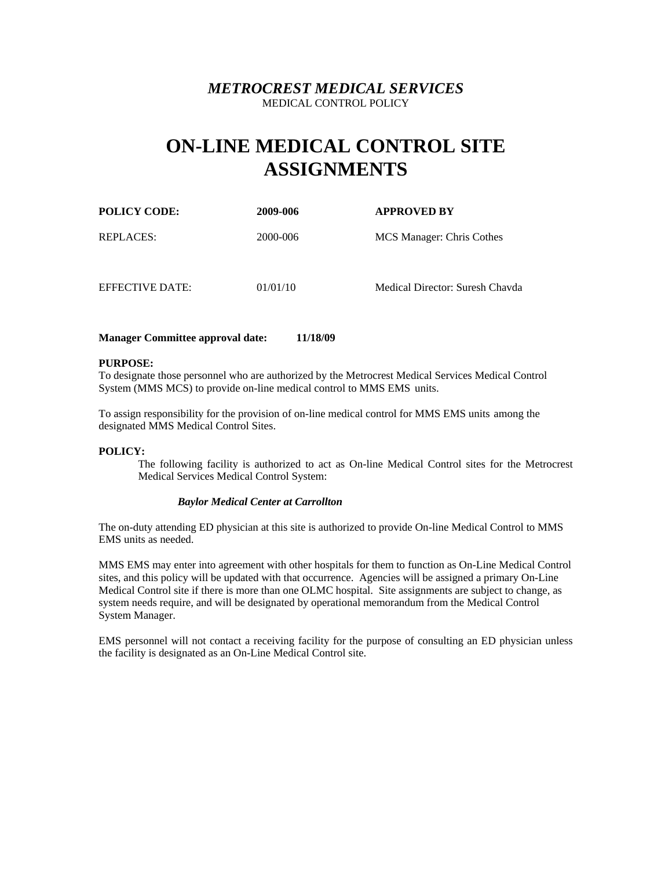# **ON-LINE MEDICAL CONTROL SITE ASSIGNMENTS**

| <b>POLICY CODE:</b> | 2009-006 | <b>APPROVED BY</b>              |
|---------------------|----------|---------------------------------|
| REPLACES:           | 2000-006 | MCS Manager: Chris Cothes       |
| EFFECTIVE DATE:     | 01/01/10 | Medical Director: Suresh Chavda |

## **Manager Committee approval date: 11/18/09**

### **PURPOSE:**

To designate those personnel who are authorized by the Metrocrest Medical Services Medical Control System (MMS MCS) to provide on-line medical control to MMS EMS units.

To assign responsibility for the provision of on-line medical control for MMS EMS units among the designated MMS Medical Control Sites.

### **POLICY:**

The following facility is authorized to act as On-line Medical Control sites for the Metrocrest Medical Services Medical Control System:

## *Baylor Medical Center at Carrollton*

The on-duty attending ED physician at this site is authorized to provide On-line Medical Control to MMS EMS units as needed.

MMS EMS may enter into agreement with other hospitals for them to function as On-Line Medical Control sites, and this policy will be updated with that occurrence. Agencies will be assigned a primary On-Line Medical Control site if there is more than one OLMC hospital. Site assignments are subject to change, as system needs require, and will be designated by operational memorandum from the Medical Control System Manager.

EMS personnel will not contact a receiving facility for the purpose of consulting an ED physician unless the facility is designated as an On-Line Medical Control site.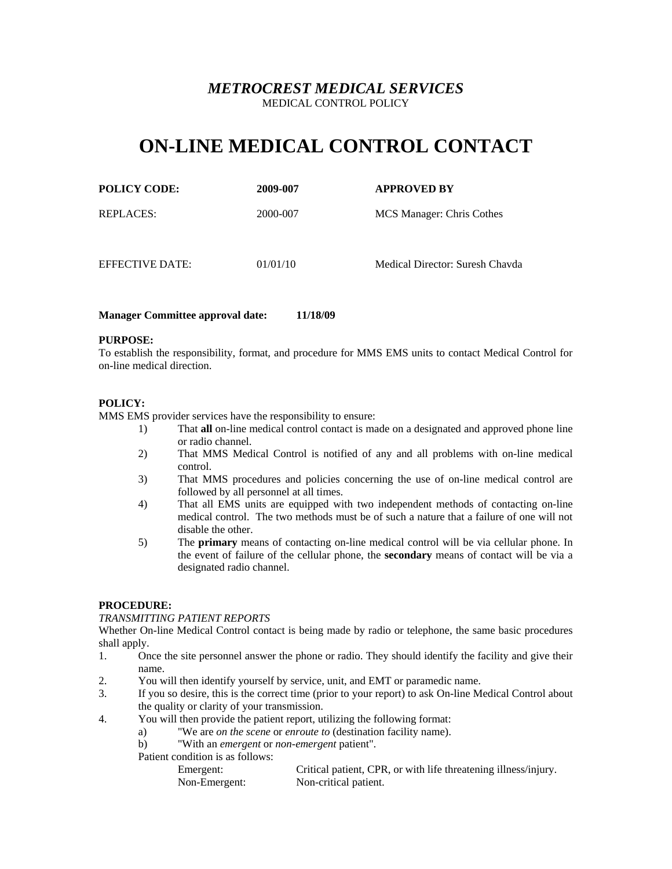# **ON-LINE MEDICAL CONTROL CONTACT**

| <b>POLICY CODE:</b> | 2009-007 | <b>APPROVED BY</b> |
|---------------------|----------|--------------------|
|                     |          |                    |

REPLACES: 2000-007 MCS Manager: Chris Cothes

EFFECTIVE DATE: 01/01/10 Medical Director: Suresh Chavda

## **Manager Committee approval date: 11/18/09**

## **PURPOSE:**

To establish the responsibility, format, and procedure for MMS EMS units to contact Medical Control for on-line medical direction.

## **POLICY:**

MMS EMS provider services have the responsibility to ensure:

- 1) That **all** on-line medical control contact is made on a designated and approved phone line or radio channel.
- 2) That MMS Medical Control is notified of any and all problems with on-line medical control.
- 3) That MMS procedures and policies concerning the use of on-line medical control are followed by all personnel at all times.
- 4) That all EMS units are equipped with two independent methods of contacting on-line medical control. The two methods must be of such a nature that a failure of one will not disable the other.
- 5) The **primary** means of contacting on-line medical control will be via cellular phone. In the event of failure of the cellular phone, the **secondary** means of contact will be via a designated radio channel.

## **PROCEDURE:**

## *TRANSMITTING PATIENT REPORTS*

Whether On-line Medical Control contact is being made by radio or telephone, the same basic procedures shall apply.

- 1. Once the site personnel answer the phone or radio. They should identify the facility and give their name.
- 2. You will then identify yourself by service, unit, and EMT or paramedic name.
- 3. If you so desire, this is the correct time (prior to your report) to ask On-line Medical Control about the quality or clarity of your transmission.
- 4. You will then provide the patient report, utilizing the following format:
	- a) "We are *on the scene* or *enroute to* (destination facility name).
	- b) "With an *emergent* or *non-emergent* patient".
	- Patient condition is as follows:
		- Emergent: Critical patient, CPR, or with life threatening illness/injury. Non-Emergent: Non-critical patient.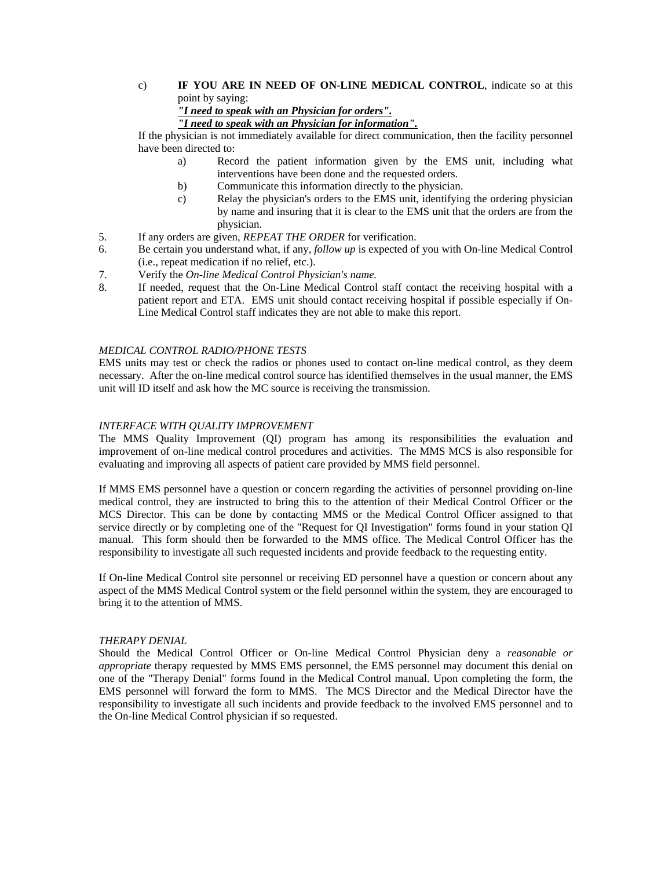## c) **IF YOU ARE IN NEED OF ON-LINE MEDICAL CONTROL**, indicate so at this point by saying:

*"I need to speak with an Physician for orders".*

*"I need to speak with an Physician for information".*

If the physician is not immediately available for direct communication, then the facility personnel have been directed to:

- a) Record the patient information given by the EMS unit, including what interventions have been done and the requested orders.
- b) Communicate this information directly to the physician.
- c) Relay the physician's orders to the EMS unit, identifying the ordering physician by name and insuring that it is clear to the EMS unit that the orders are from the physician.
- 5. If any orders are given, *REPEAT THE ORDER* for verification.
- 6. Be certain you understand what, if any, *follow up* is expected of you with On-line Medical Control (i.e., repeat medication if no relief, etc.).
- 7. Verify the *On-line Medical Control Physician's name.*
- 8. If needed, request that the On-Line Medical Control staff contact the receiving hospital with a patient report and ETA. EMS unit should contact receiving hospital if possible especially if On-Line Medical Control staff indicates they are not able to make this report.

## *MEDICAL CONTROL RADIO/PHONE TESTS*

EMS units may test or check the radios or phones used to contact on-line medical control, as they deem necessary. After the on-line medical control source has identified themselves in the usual manner, the EMS unit will ID itself and ask how the MC source is receiving the transmission.

## *INTERFACE WITH QUALITY IMPROVEMENT*

The MMS Quality Improvement (QI) program has among its responsibilities the evaluation and improvement of on-line medical control procedures and activities. The MMS MCS is also responsible for evaluating and improving all aspects of patient care provided by MMS field personnel.

If MMS EMS personnel have a question or concern regarding the activities of personnel providing on-line medical control, they are instructed to bring this to the attention of their Medical Control Officer or the MCS Director. This can be done by contacting MMS or the Medical Control Officer assigned to that service directly or by completing one of the "Request for QI Investigation" forms found in your station QI manual. This form should then be forwarded to the MMS office. The Medical Control Officer has the responsibility to investigate all such requested incidents and provide feedback to the requesting entity.

If On-line Medical Control site personnel or receiving ED personnel have a question or concern about any aspect of the MMS Medical Control system or the field personnel within the system, they are encouraged to bring it to the attention of MMS.

## *THERAPY DENIAL*

Should the Medical Control Officer or On-line Medical Control Physician deny a *reasonable or appropriate* therapy requested by MMS EMS personnel, the EMS personnel may document this denial on one of the "Therapy Denial" forms found in the Medical Control manual. Upon completing the form, the EMS personnel will forward the form to MMS. The MCS Director and the Medical Director have the responsibility to investigate all such incidents and provide feedback to the involved EMS personnel and to the On-line Medical Control physician if so requested.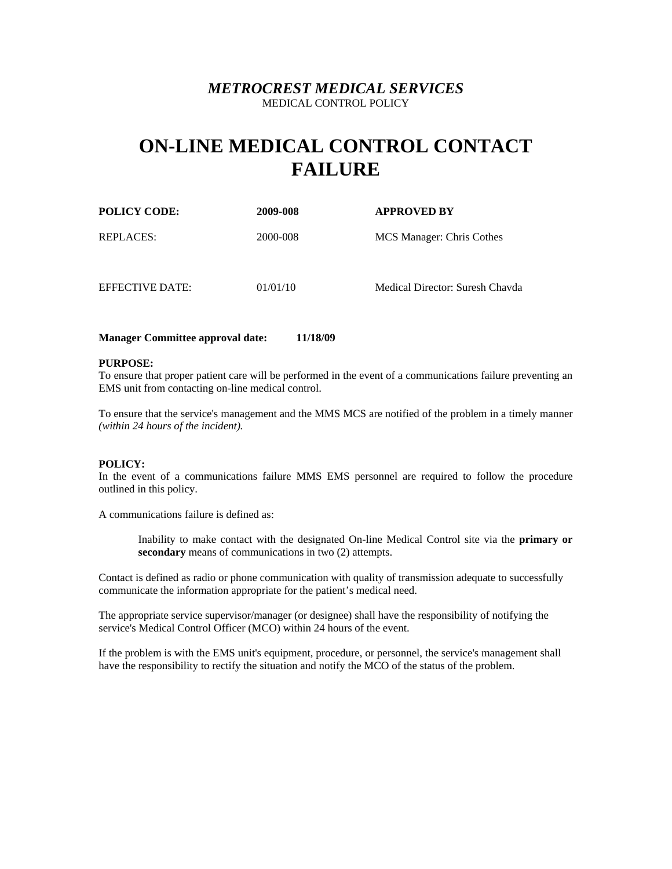# **ON-LINE MEDICAL CONTROL CONTACT FAILURE**

| <b>POLICY CODE:</b> | 2009-008 | <b>APPROVED BY</b>              |
|---------------------|----------|---------------------------------|
| REPLACES:           | 2000-008 | MCS Manager: Chris Cothes       |
| EFFECTIVE DATE:     | 01/01/10 | Medical Director: Suresh Chavda |

### **Manager Committee approval date: 11/18/09**

### **PURPOSE:**

To ensure that proper patient care will be performed in the event of a communications failure preventing an EMS unit from contacting on-line medical control.

To ensure that the service's management and the MMS MCS are notified of the problem in a timely manner *(within 24 hours of the incident).*

### **POLICY:**

In the event of a communications failure MMS EMS personnel are required to follow the procedure outlined in this policy.

A communications failure is defined as:

Inability to make contact with the designated On-line Medical Control site via the **primary or secondary** means of communications in two (2) attempts.

Contact is defined as radio or phone communication with quality of transmission adequate to successfully communicate the information appropriate for the patient's medical need.

The appropriate service supervisor/manager (or designee) shall have the responsibility of notifying the service's Medical Control Officer (MCO) within 24 hours of the event.

If the problem is with the EMS unit's equipment, procedure, or personnel, the service's management shall have the responsibility to rectify the situation and notify the MCO of the status of the problem.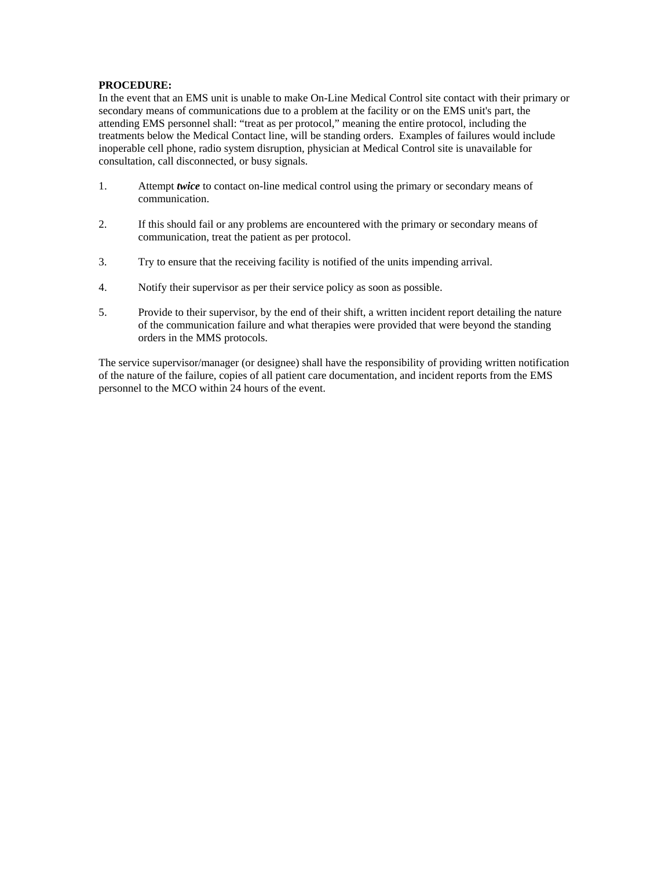## **PROCEDURE:**

In the event that an EMS unit is unable to make On-Line Medical Control site contact with their primary or secondary means of communications due to a problem at the facility or on the EMS unit's part, the attending EMS personnel shall: "treat as per protocol," meaning the entire protocol, including the treatments below the Medical Contact line, will be standing orders. Examples of failures would include inoperable cell phone, radio system disruption, physician at Medical Control site is unavailable for consultation, call disconnected, or busy signals.

- 1. Attempt *twice* to contact on-line medical control using the primary or secondary means of communication.
- 2. If this should fail or any problems are encountered with the primary or secondary means of communication, treat the patient as per protocol.
- 3. Try to ensure that the receiving facility is notified of the units impending arrival.
- 4. Notify their supervisor as per their service policy as soon as possible.
- 5. Provide to their supervisor, by the end of their shift, a written incident report detailing the nature of the communication failure and what therapies were provided that were beyond the standing orders in the MMS protocols.

The service supervisor/manager (or designee) shall have the responsibility of providing written notification of the nature of the failure, copies of all patient care documentation, and incident reports from the EMS personnel to the MCO within 24 hours of the event.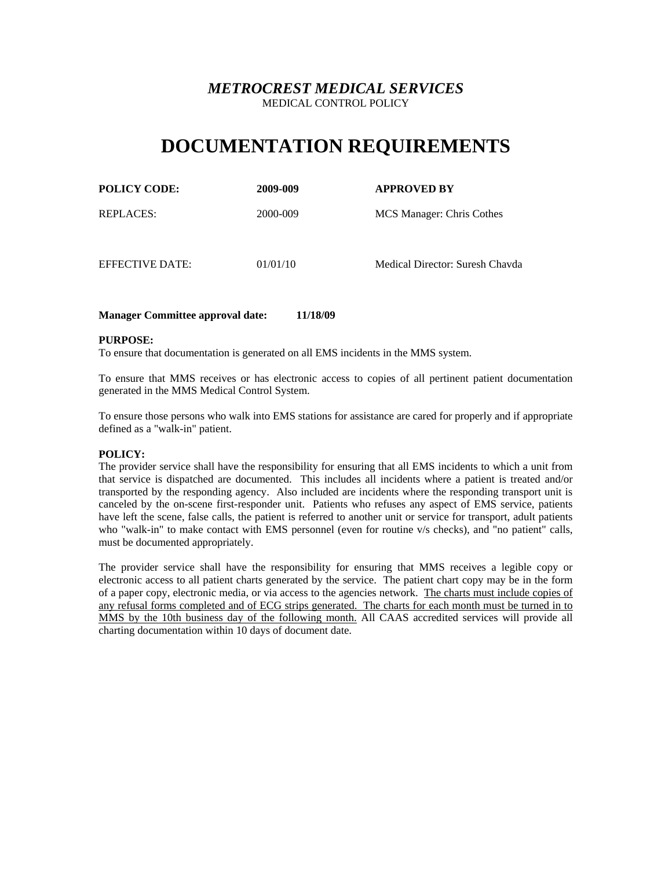# **DOCUMENTATION REQUIREMENTS**

| <b>POLICY CODE:</b> | 2009-009 | <b>APPROVED BY</b>        |
|---------------------|----------|---------------------------|
| <b>REPLACES:</b>    | 2000-009 | MCS Manager: Chris Cothes |

EFFECTIVE DATE: 01/01/10 Medical Director: Suresh Chavda

## **Manager Committee approval date: 11/18/09**

### **PURPOSE:**

To ensure that documentation is generated on all EMS incidents in the MMS system.

To ensure that MMS receives or has electronic access to copies of all pertinent patient documentation generated in the MMS Medical Control System.

To ensure those persons who walk into EMS stations for assistance are cared for properly and if appropriate defined as a "walk-in" patient.

### **POLICY:**

The provider service shall have the responsibility for ensuring that all EMS incidents to which a unit from that service is dispatched are documented. This includes all incidents where a patient is treated and/or transported by the responding agency. Also included are incidents where the responding transport unit is canceled by the on-scene first-responder unit. Patients who refuses any aspect of EMS service, patients have left the scene, false calls, the patient is referred to another unit or service for transport, adult patients who "walk-in" to make contact with EMS personnel (even for routine v/s checks), and "no patient" calls, must be documented appropriately.

The provider service shall have the responsibility for ensuring that MMS receives a legible copy or electronic access to all patient charts generated by the service. The patient chart copy may be in the form of a paper copy, electronic media, or via access to the agencies network. The charts must include copies of any refusal forms completed and of ECG strips generated. The charts for each month must be turned in to MMS by the 10th business day of the following month. All CAAS accredited services will provide all charting documentation within 10 days of document date.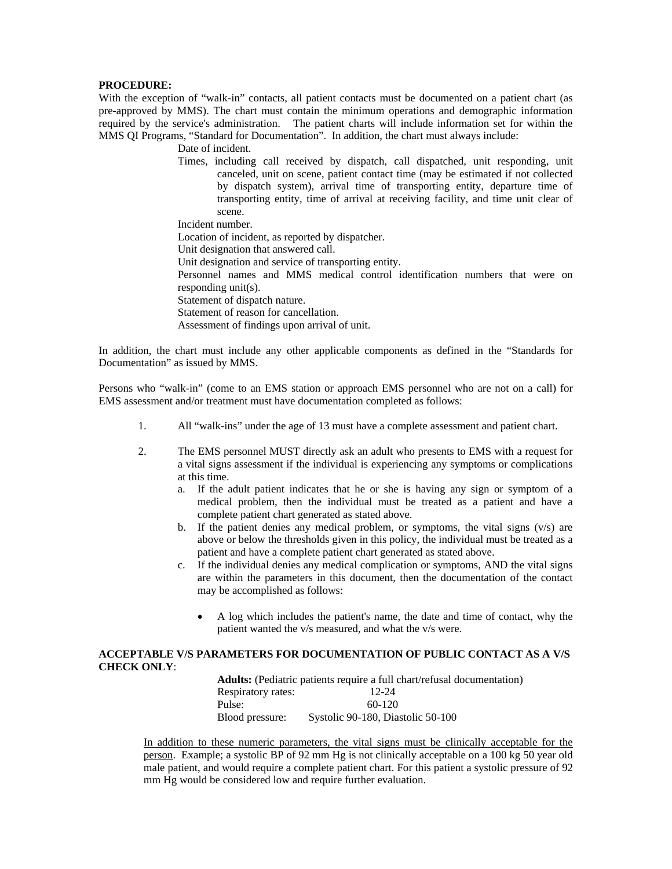### **PROCEDURE:**

With the exception of "walk-in" contacts, all patient contacts must be documented on a patient chart (as pre-approved by MMS). The chart must contain the minimum operations and demographic information required by the service's administration. The patient charts will include information set for within the MMS QI Programs, "Standard for Documentation". In addition, the chart must always include:

Date of incident.

Times, including call received by dispatch, call dispatched, unit responding, unit canceled, unit on scene, patient contact time (may be estimated if not collected by dispatch system), arrival time of transporting entity, departure time of transporting entity, time of arrival at receiving facility, and time unit clear of scene.

Incident number.

Location of incident, as reported by dispatcher.

Unit designation that answered call.

Unit designation and service of transporting entity.

Personnel names and MMS medical control identification numbers that were on responding unit(s).

Statement of dispatch nature.

Statement of reason for cancellation.

Assessment of findings upon arrival of unit.

In addition, the chart must include any other applicable components as defined in the "Standards for Documentation" as issued by MMS.

Persons who "walk-in" (come to an EMS station or approach EMS personnel who are not on a call) for EMS assessment and/or treatment must have documentation completed as follows:

- 1. All "walk-ins" under the age of 13 must have a complete assessment and patient chart.
- 2. The EMS personnel MUST directly ask an adult who presents to EMS with a request for a vital signs assessment if the individual is experiencing any symptoms or complications at this time.
	- a. If the adult patient indicates that he or she is having any sign or symptom of a medical problem, then the individual must be treated as a patient and have a complete patient chart generated as stated above.
	- b. If the patient denies any medical problem, or symptoms, the vital signs  $(v/s)$  are above or below the thresholds given in this policy, the individual must be treated as a patient and have a complete patient chart generated as stated above.
	- c. If the individual denies any medical complication or symptoms, AND the vital signs are within the parameters in this document, then the documentation of the contact may be accomplished as follows:
		- A log which includes the patient's name, the date and time of contact, why the patient wanted the v/s measured, and what the v/s were.

## **ACCEPTABLE V/S PARAMETERS FOR DOCUMENTATION OF PUBLIC CONTACT AS A V/S CHECK ONLY**:

|                    | <b>Adults:</b> (Pediatric patients require a full chart/refusal documentation) |
|--------------------|--------------------------------------------------------------------------------|
| Respiratory rates: | $12 - 24$                                                                      |
| Pulse:             | $60-120$                                                                       |
| Blood pressure:    | Systolic 90-180, Diastolic 50-100                                              |

In addition to these numeric parameters, the vital signs must be clinically acceptable for the person. Example; a systolic BP of 92 mm Hg is not clinically acceptable on a 100 kg 50 year old male patient, and would require a complete patient chart. For this patient a systolic pressure of 92 mm Hg would be considered low and require further evaluation.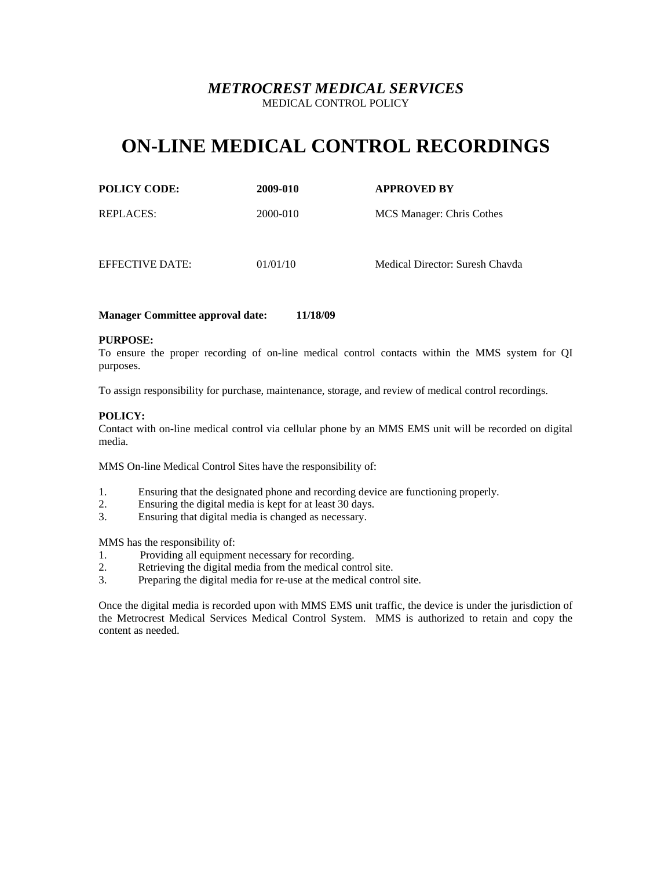# **ON-LINE MEDICAL CONTROL RECORDINGS**

| <b>POLICY CODE:</b> |  |
|---------------------|--|
|                     |  |

**POLICY CODE: 2009-010 APPROVED BY**

REPLACES: 2000-010 MCS Manager: Chris Cothes

EFFECTIVE DATE: 01/01/10 Medical Director: Suresh Chavda

## **Manager Committee approval date: 11/18/09**

## **PURPOSE:**

To ensure the proper recording of on-line medical control contacts within the MMS system for QI purposes.

To assign responsibility for purchase, maintenance, storage, and review of medical control recordings.

## **POLICY:**

Contact with on-line medical control via cellular phone by an MMS EMS unit will be recorded on digital media.

MMS On-line Medical Control Sites have the responsibility of:

- 1. Ensuring that the designated phone and recording device are functioning properly.
- 2. Ensuring the digital media is kept for at least 30 days.
- 3. Ensuring that digital media is changed as necessary.

MMS has the responsibility of:

- 1. Providing all equipment necessary for recording.
- 2. Retrieving the digital media from the medical control site.
- 3. Preparing the digital media for re-use at the medical control site.

Once the digital media is recorded upon with MMS EMS unit traffic, the device is under the jurisdiction of the Metrocrest Medical Services Medical Control System. MMS is authorized to retain and copy the content as needed.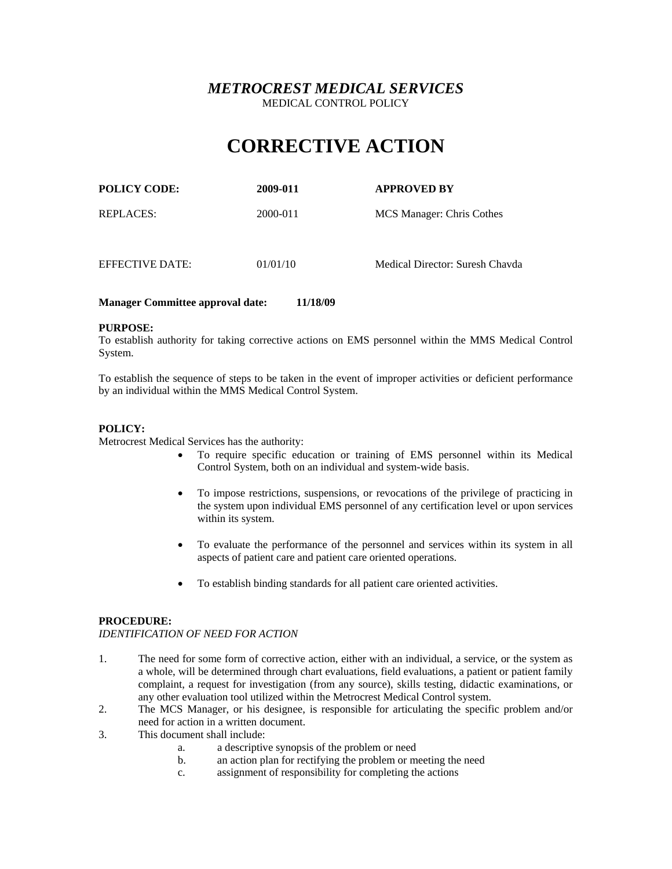# **CORRECTIVE ACTION**

| <b>POLICY CODE:</b> | 2009-011 | <b>APPROVED BY</b>        |
|---------------------|----------|---------------------------|
| <b>REPLACES:</b>    | 2000-011 | MCS Manager: Chris Cothes |

EFFECTIVE DATE: 01/01/10 Medical Director: Suresh Chavda

## **Manager Committee approval date: 11/18/09**

### **PURPOSE:**

To establish authority for taking corrective actions on EMS personnel within the MMS Medical Control System.

To establish the sequence of steps to be taken in the event of improper activities or deficient performance by an individual within the MMS Medical Control System.

## **POLICY:**

Metrocrest Medical Services has the authority:

- To require specific education or training of EMS personnel within its Medical Control System, both on an individual and system-wide basis.
- To impose restrictions, suspensions, or revocations of the privilege of practicing in the system upon individual EMS personnel of any certification level or upon services within its system.
- To evaluate the performance of the personnel and services within its system in all aspects of patient care and patient care oriented operations.
- To establish binding standards for all patient care oriented activities.

## **PROCEDURE:**

### *IDENTIFICATION OF NEED FOR ACTION*

- 1. The need for some form of corrective action, either with an individual, a service, or the system as a whole, will be determined through chart evaluations, field evaluations, a patient or patient family complaint, a request for investigation (from any source), skills testing, didactic examinations, or any other evaluation tool utilized within the Metrocrest Medical Control system.
- 2. The MCS Manager, or his designee, is responsible for articulating the specific problem and/or need for action in a written document.
- 3. This document shall include:
	- a. a descriptive synopsis of the problem or need
	- b. an action plan for rectifying the problem or meeting the need
	- c. assignment of responsibility for completing the actions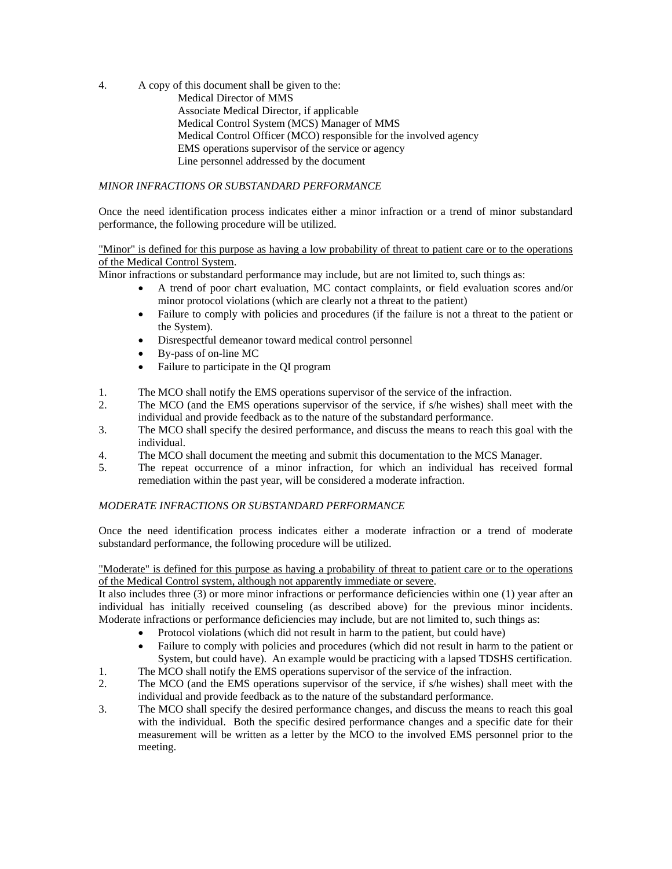4. A copy of this document shall be given to the:

Medical Director of MMS Associate Medical Director, if applicable Medical Control System (MCS) Manager of MMS Medical Control Officer (MCO) responsible for the involved agency EMS operations supervisor of the service or agency Line personnel addressed by the document

## *MINOR INFRACTIONS OR SUBSTANDARD PERFORMANCE*

Once the need identification process indicates either a minor infraction or a trend of minor substandard performance, the following procedure will be utilized.

## "Minor" is defined for this purpose as having a low probability of threat to patient care or to the operations of the Medical Control System.

Minor infractions or substandard performance may include, but are not limited to, such things as:

- A trend of poor chart evaluation, MC contact complaints, or field evaluation scores and/or minor protocol violations (which are clearly not a threat to the patient)
- Failure to comply with policies and procedures (if the failure is not a threat to the patient or the System).
- Disrespectful demeanor toward medical control personnel
- By-pass of on-line MC
- Failure to participate in the OI program
- 1. The MCO shall notify the EMS operations supervisor of the service of the infraction.
- 2. The MCO (and the EMS operations supervisor of the service, if s/he wishes) shall meet with the individual and provide feedback as to the nature of the substandard performance.
- 3. The MCO shall specify the desired performance, and discuss the means to reach this goal with the individual.
- 4. The MCO shall document the meeting and submit this documentation to the MCS Manager.
- 5. The repeat occurrence of a minor infraction, for which an individual has received formal remediation within the past year, will be considered a moderate infraction.

## *MODERATE INFRACTIONS OR SUBSTANDARD PERFORMANCE*

Once the need identification process indicates either a moderate infraction or a trend of moderate substandard performance, the following procedure will be utilized.

## "Moderate" is defined for this purpose as having a probability of threat to patient care or to the operations of the Medical Control system, although not apparently immediate or severe.

It also includes three (3) or more minor infractions or performance deficiencies within one (1) year after an individual has initially received counseling (as described above) for the previous minor incidents. Moderate infractions or performance deficiencies may include, but are not limited to, such things as:

- Protocol violations (which did not result in harm to the patient, but could have)
- Failure to comply with policies and procedures (which did not result in harm to the patient or System, but could have). An example would be practicing with a lapsed TDSHS certification.
- 1. The MCO shall notify the EMS operations supervisor of the service of the infraction.
- 2. The MCO (and the EMS operations supervisor of the service, if s/he wishes) shall meet with the individual and provide feedback as to the nature of the substandard performance.
- 3. The MCO shall specify the desired performance changes, and discuss the means to reach this goal with the individual. Both the specific desired performance changes and a specific date for their measurement will be written as a letter by the MCO to the involved EMS personnel prior to the meeting.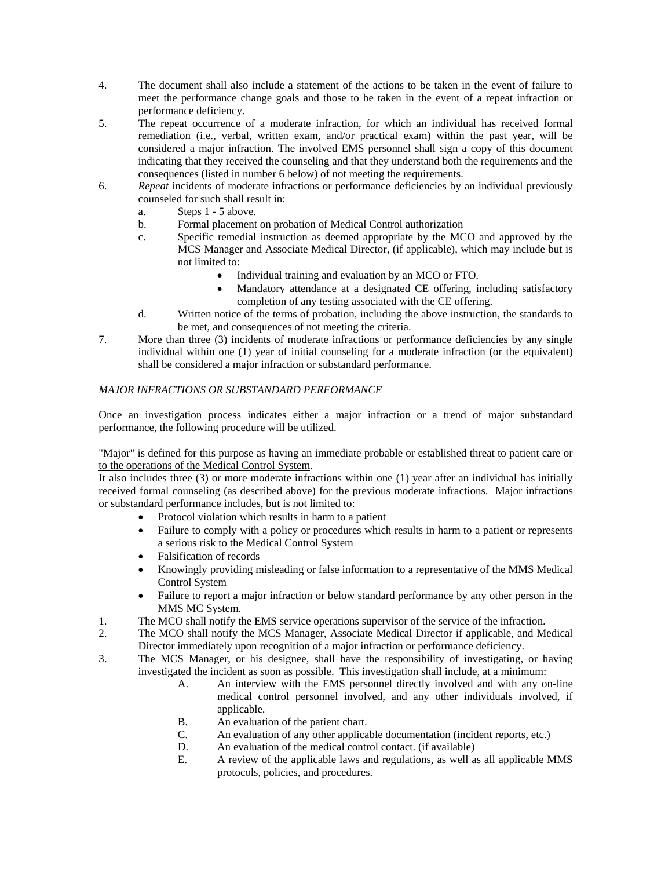- 4. The document shall also include a statement of the actions to be taken in the event of failure to meet the performance change goals and those to be taken in the event of a repeat infraction or performance deficiency.
- 5. The repeat occurrence of a moderate infraction, for which an individual has received formal remediation (i.e., verbal, written exam, and/or practical exam) within the past year, will be considered a major infraction. The involved EMS personnel shall sign a copy of this document indicating that they received the counseling and that they understand both the requirements and the consequences (listed in number 6 below) of not meeting the requirements.
- 6. *Repeat* incidents of moderate infractions or performance deficiencies by an individual previously counseled for such shall result in:
	- a. Steps 1 5 above.
	- b. Formal placement on probation of Medical Control authorization
	- c. Specific remedial instruction as deemed appropriate by the MCO and approved by the MCS Manager and Associate Medical Director, (if applicable), which may include but is not limited to:
		- Individual training and evaluation by an MCO or FTO.
		- Mandatory attendance at a designated CE offering, including satisfactory completion of any testing associated with the CE offering.
	- d. Written notice of the terms of probation, including the above instruction, the standards to be met, and consequences of not meeting the criteria.
- 7. More than three (3) incidents of moderate infractions or performance deficiencies by any single individual within one (1) year of initial counseling for a moderate infraction (or the equivalent) shall be considered a major infraction or substandard performance.

## *MAJOR INFRACTIONS OR SUBSTANDARD PERFORMANCE*

Once an investigation process indicates either a major infraction or a trend of major substandard performance, the following procedure will be utilized.

## "Major" is defined for this purpose as having an immediate probable or established threat to patient care or to the operations of the Medical Control System.

It also includes three (3) or more moderate infractions within one (1) year after an individual has initially received formal counseling (as described above) for the previous moderate infractions. Major infractions or substandard performance includes, but is not limited to:

- Protocol violation which results in harm to a patient
- Failure to comply with a policy or procedures which results in harm to a patient or represents a serious risk to the Medical Control System
- Falsification of records
- Knowingly providing misleading or false information to a representative of the MMS Medical Control System
- Failure to report a major infraction or below standard performance by any other person in the MMS MC System.
- 1. The MCO shall notify the EMS service operations supervisor of the service of the infraction.
- 2. The MCO shall notify the MCS Manager, Associate Medical Director if applicable, and Medical Director immediately upon recognition of a major infraction or performance deficiency.
- 3. The MCS Manager, or his designee, shall have the responsibility of investigating, or having investigated the incident as soon as possible. This investigation shall include, at a minimum:
	- A. An interview with the EMS personnel directly involved and with any on-line medical control personnel involved, and any other individuals involved, if applicable.
	- B. An evaluation of the patient chart.
	- C. An evaluation of any other applicable documentation (incident reports, etc.)
	- D. An evaluation of the medical control contact. (if available)
	- E. A review of the applicable laws and regulations, as well as all applicable MMS protocols, policies, and procedures.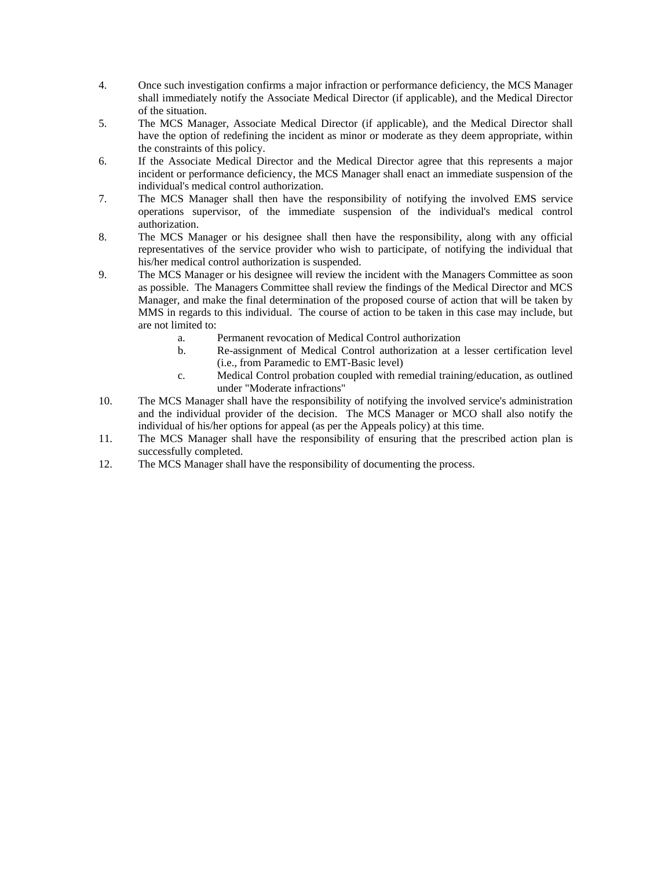- 4. Once such investigation confirms a major infraction or performance deficiency, the MCS Manager shall immediately notify the Associate Medical Director (if applicable), and the Medical Director of the situation.
- 5. The MCS Manager, Associate Medical Director (if applicable), and the Medical Director shall have the option of redefining the incident as minor or moderate as they deem appropriate, within the constraints of this policy.
- 6. If the Associate Medical Director and the Medical Director agree that this represents a major incident or performance deficiency, the MCS Manager shall enact an immediate suspension of the individual's medical control authorization.
- 7. The MCS Manager shall then have the responsibility of notifying the involved EMS service operations supervisor, of the immediate suspension of the individual's medical control authorization.
- 8. The MCS Manager or his designee shall then have the responsibility, along with any official representatives of the service provider who wish to participate, of notifying the individual that his/her medical control authorization is suspended.
- 9. The MCS Manager or his designee will review the incident with the Managers Committee as soon as possible. The Managers Committee shall review the findings of the Medical Director and MCS Manager, and make the final determination of the proposed course of action that will be taken by MMS in regards to this individual. The course of action to be taken in this case may include, but are not limited to:
	- a. Permanent revocation of Medical Control authorization
	- b. Re-assignment of Medical Control authorization at a lesser certification level (i.e., from Paramedic to EMT-Basic level)
	- c. Medical Control probation coupled with remedial training/education, as outlined under "Moderate infractions"
- 10. The MCS Manager shall have the responsibility of notifying the involved service's administration and the individual provider of the decision. The MCS Manager or MCO shall also notify the individual of his/her options for appeal (as per the Appeals policy) at this time.
- 11. The MCS Manager shall have the responsibility of ensuring that the prescribed action plan is successfully completed.
- 12. The MCS Manager shall have the responsibility of documenting the process.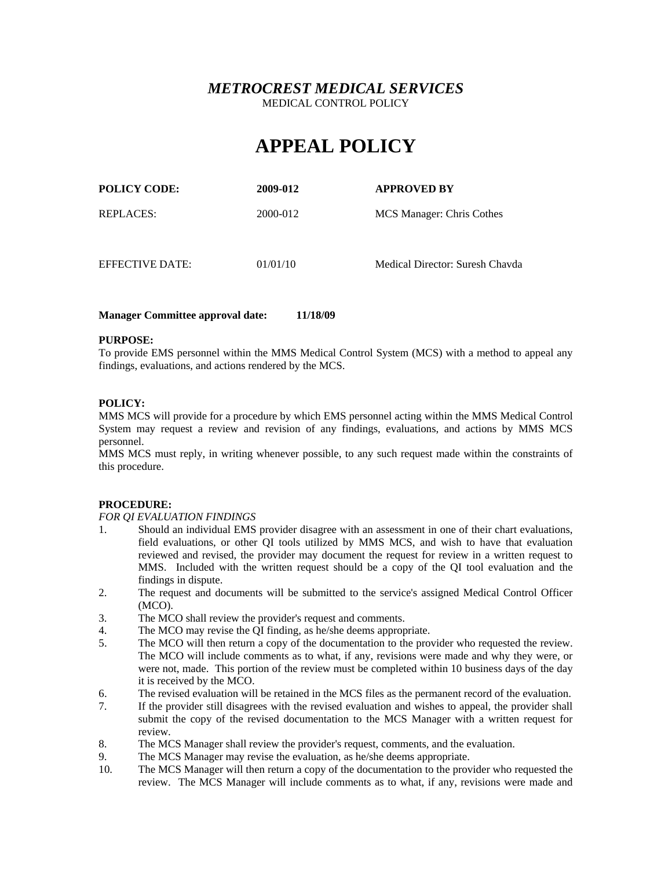# **APPEAL POLICY**

| <b>POLICY CODE:</b> | 2009-012 | <b>APPROVED BY</b>              |
|---------------------|----------|---------------------------------|
| REPLACES:           | 2000-012 | MCS Manager: Chris Cothes       |
|                     |          |                                 |
| EFFECTIVE DATE:     | 01/01/10 | Medical Director: Suresh Chavda |

## **Manager Committee approval date: 11/18/09**

## **PURPOSE:**

To provide EMS personnel within the MMS Medical Control System (MCS) with a method to appeal any findings, evaluations, and actions rendered by the MCS.

## **POLICY:**

MMS MCS will provide for a procedure by which EMS personnel acting within the MMS Medical Control System may request a review and revision of any findings, evaluations, and actions by MMS MCS personnel.

MMS MCS must reply, in writing whenever possible, to any such request made within the constraints of this procedure.

### **PROCEDURE:**

### *FOR QI EVALUATION FINDINGS*

- 1. Should an individual EMS provider disagree with an assessment in one of their chart evaluations, field evaluations, or other QI tools utilized by MMS MCS, and wish to have that evaluation reviewed and revised, the provider may document the request for review in a written request to MMS. Included with the written request should be a copy of the QI tool evaluation and the findings in dispute.
- 2. The request and documents will be submitted to the service's assigned Medical Control Officer (MCO).
- 3. The MCO shall review the provider's request and comments.
- 4. The MCO may revise the QI finding, as he/she deems appropriate.
- 5. The MCO will then return a copy of the documentation to the provider who requested the review. The MCO will include comments as to what, if any, revisions were made and why they were, or were not, made. This portion of the review must be completed within 10 business days of the day it is received by the MCO.
- 6. The revised evaluation will be retained in the MCS files as the permanent record of the evaluation.
- 7. If the provider still disagrees with the revised evaluation and wishes to appeal, the provider shall submit the copy of the revised documentation to the MCS Manager with a written request for review.
- 8. The MCS Manager shall review the provider's request, comments, and the evaluation.
- 9. The MCS Manager may revise the evaluation, as he/she deems appropriate.
- 10. The MCS Manager will then return a copy of the documentation to the provider who requested the review. The MCS Manager will include comments as to what, if any, revisions were made and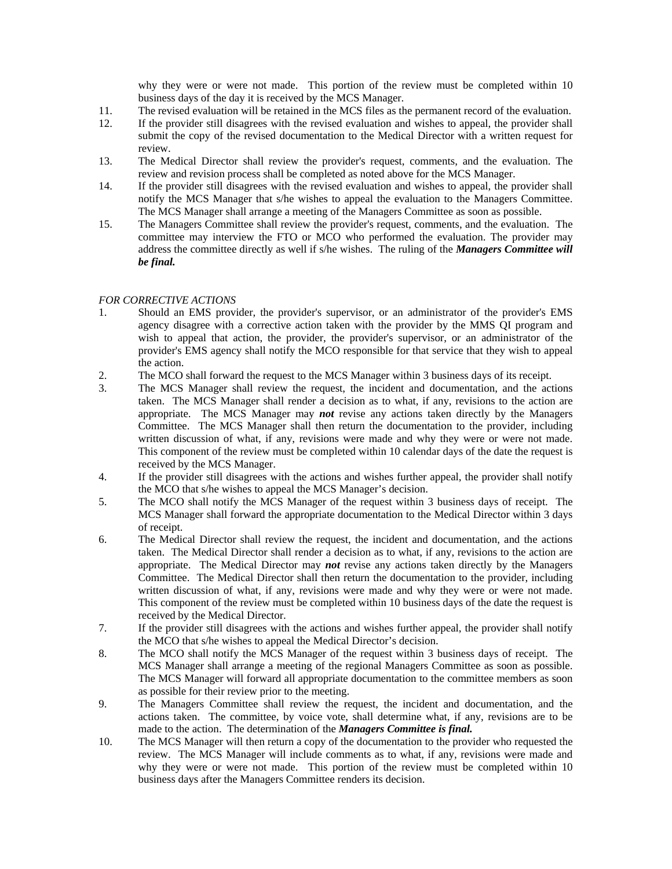why they were or were not made. This portion of the review must be completed within 10 business days of the day it is received by the MCS Manager.

- 11. The revised evaluation will be retained in the MCS files as the permanent record of the evaluation.
- 12. If the provider still disagrees with the revised evaluation and wishes to appeal, the provider shall submit the copy of the revised documentation to the Medical Director with a written request for review.
- 13. The Medical Director shall review the provider's request, comments, and the evaluation. The review and revision process shall be completed as noted above for the MCS Manager.
- 14. If the provider still disagrees with the revised evaluation and wishes to appeal, the provider shall notify the MCS Manager that s/he wishes to appeal the evaluation to the Managers Committee. The MCS Manager shall arrange a meeting of the Managers Committee as soon as possible.
- 15. The Managers Committee shall review the provider's request, comments, and the evaluation. The committee may interview the FTO or MCO who performed the evaluation. The provider may address the committee directly as well if s/he wishes. The ruling of the *Managers Committee will be final.*

### *FOR CORRECTIVE ACTIONS*

- 1. Should an EMS provider, the provider's supervisor, or an administrator of the provider's EMS agency disagree with a corrective action taken with the provider by the MMS QI program and wish to appeal that action, the provider, the provider's supervisor, or an administrator of the provider's EMS agency shall notify the MCO responsible for that service that they wish to appeal the action.
- 2. The MCO shall forward the request to the MCS Manager within 3 business days of its receipt.<br>
2. The MCS Manager shall review the request, the incident and documentation, and the act
- The MCS Manager shall review the request, the incident and documentation, and the actions taken. The MCS Manager shall render a decision as to what, if any, revisions to the action are appropriate. The MCS Manager may *not* revise any actions taken directly by the Managers Committee. The MCS Manager shall then return the documentation to the provider, including written discussion of what, if any, revisions were made and why they were or were not made. This component of the review must be completed within 10 calendar days of the date the request is received by the MCS Manager.
- 4. If the provider still disagrees with the actions and wishes further appeal, the provider shall notify the MCO that s/he wishes to appeal the MCS Manager's decision.
- 5. The MCO shall notify the MCS Manager of the request within 3 business days of receipt. The MCS Manager shall forward the appropriate documentation to the Medical Director within 3 days of receipt.
- 6. The Medical Director shall review the request, the incident and documentation, and the actions taken. The Medical Director shall render a decision as to what, if any, revisions to the action are appropriate. The Medical Director may *not* revise any actions taken directly by the Managers Committee. The Medical Director shall then return the documentation to the provider, including written discussion of what, if any, revisions were made and why they were or were not made. This component of the review must be completed within 10 business days of the date the request is received by the Medical Director.
- 7. If the provider still disagrees with the actions and wishes further appeal, the provider shall notify the MCO that s/he wishes to appeal the Medical Director's decision.
- 8. The MCO shall notify the MCS Manager of the request within 3 business days of receipt. The MCS Manager shall arrange a meeting of the regional Managers Committee as soon as possible. The MCS Manager will forward all appropriate documentation to the committee members as soon as possible for their review prior to the meeting.
- 9. The Managers Committee shall review the request, the incident and documentation, and the actions taken. The committee, by voice vote, shall determine what, if any, revisions are to be made to the action. The determination of the *Managers Committee is final.*
- 10. The MCS Manager will then return a copy of the documentation to the provider who requested the review. The MCS Manager will include comments as to what, if any, revisions were made and why they were or were not made. This portion of the review must be completed within 10 business days after the Managers Committee renders its decision.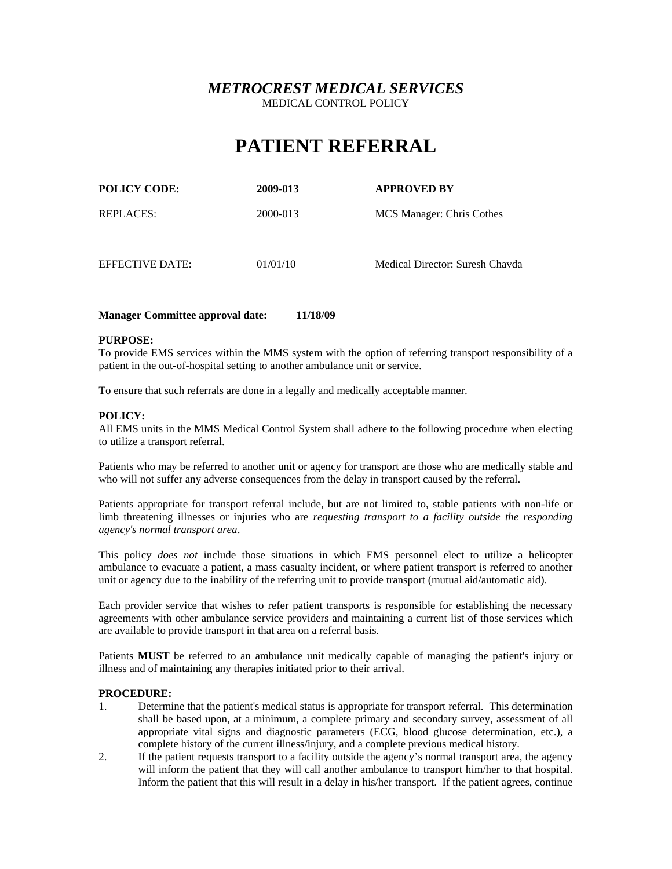# **PATIENT REFERRAL**

| <b>POLICY CODE:</b> | 2009-013 | <b>APPROVED BY</b>              |
|---------------------|----------|---------------------------------|
| REPLACES:           | 2000-013 | MCS Manager: Chris Cothes       |
| EFFECTIVE DATE:     | 01/01/10 | Medical Director: Suresh Chavda |

## **Manager Committee approval date: 11/18/09**

### **PURPOSE:**

To provide EMS services within the MMS system with the option of referring transport responsibility of a patient in the out-of-hospital setting to another ambulance unit or service.

To ensure that such referrals are done in a legally and medically acceptable manner.

## **POLICY:**

All EMS units in the MMS Medical Control System shall adhere to the following procedure when electing to utilize a transport referral.

Patients who may be referred to another unit or agency for transport are those who are medically stable and who will not suffer any adverse consequences from the delay in transport caused by the referral.

Patients appropriate for transport referral include, but are not limited to, stable patients with non-life or limb threatening illnesses or injuries who are *requesting transport to a facility outside the responding agency's normal transport area*.

This policy *does not* include those situations in which EMS personnel elect to utilize a helicopter ambulance to evacuate a patient, a mass casualty incident, or where patient transport is referred to another unit or agency due to the inability of the referring unit to provide transport (mutual aid/automatic aid).

Each provider service that wishes to refer patient transports is responsible for establishing the necessary agreements with other ambulance service providers and maintaining a current list of those services which are available to provide transport in that area on a referral basis.

Patients **MUST** be referred to an ambulance unit medically capable of managing the patient's injury or illness and of maintaining any therapies initiated prior to their arrival.

## **PROCEDURE:**

- 1. Determine that the patient's medical status is appropriate for transport referral. This determination shall be based upon, at a minimum, a complete primary and secondary survey, assessment of all appropriate vital signs and diagnostic parameters (ECG, blood glucose determination, etc.), a complete history of the current illness/injury, and a complete previous medical history.
- 2. If the patient requests transport to a facility outside the agency's normal transport area, the agency will inform the patient that they will call another ambulance to transport him/her to that hospital. Inform the patient that this will result in a delay in his/her transport. If the patient agrees, continue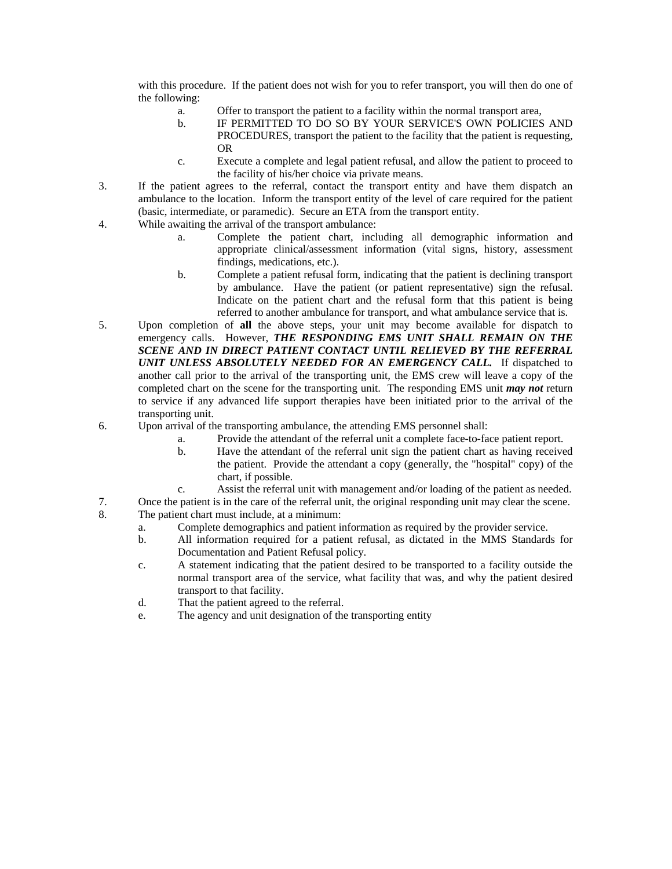with this procedure. If the patient does not wish for you to refer transport, you will then do one of the following:

- a. Offer to transport the patient to a facility within the normal transport area,
- b. IF PERMITTED TO DO SO BY YOUR SERVICE'S OWN POLICIES AND PROCEDURES, transport the patient to the facility that the patient is requesting, OR
- c. Execute a complete and legal patient refusal, and allow the patient to proceed to the facility of his/her choice via private means.
- 3. If the patient agrees to the referral, contact the transport entity and have them dispatch an ambulance to the location. Inform the transport entity of the level of care required for the patient (basic, intermediate, or paramedic). Secure an ETA from the transport entity.
- 4. While awaiting the arrival of the transport ambulance:
	- a. Complete the patient chart, including all demographic information and appropriate clinical/assessment information (vital signs, history, assessment findings, medications, etc.).
	- b. Complete a patient refusal form, indicating that the patient is declining transport by ambulance. Have the patient (or patient representative) sign the refusal. Indicate on the patient chart and the refusal form that this patient is being referred to another ambulance for transport, and what ambulance service that is.
- 5. Upon completion of **all** the above steps, your unit may become available for dispatch to emergency calls. However, *THE RESPONDING EMS UNIT SHALL REMAIN ON THE SCENE AND IN DIRECT PATIENT CONTACT UNTIL RELIEVED BY THE REFERRAL UNIT UNLESS ABSOLUTELY NEEDED FOR AN EMERGENCY CALL.* If dispatched to another call prior to the arrival of the transporting unit, the EMS crew will leave a copy of the completed chart on the scene for the transporting unit. The responding EMS unit *may not* return to service if any advanced life support therapies have been initiated prior to the arrival of the transporting unit.
- 6. Upon arrival of the transporting ambulance, the attending EMS personnel shall:
	- a. Provide the attendant of the referral unit a complete face-to-face patient report.
	- b. Have the attendant of the referral unit sign the patient chart as having received the patient. Provide the attendant a copy (generally, the "hospital" copy) of the chart, if possible.
	- c. Assist the referral unit with management and/or loading of the patient as needed.
- 7. Once the patient is in the care of the referral unit, the original responding unit may clear the scene.
- 8. The patient chart must include, at a minimum:
	- a. Complete demographics and patient information as required by the provider service.
	- b. All information required for a patient refusal, as dictated in the MMS Standards for Documentation and Patient Refusal policy.
	- c. A statement indicating that the patient desired to be transported to a facility outside the normal transport area of the service, what facility that was, and why the patient desired transport to that facility.
	- d. That the patient agreed to the referral.
	- e. The agency and unit designation of the transporting entity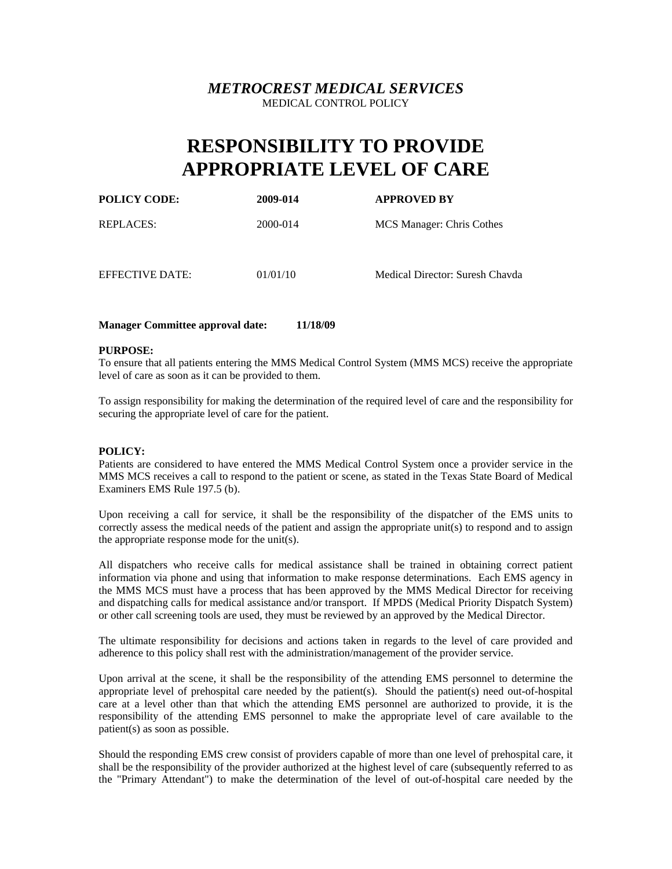# **RESPONSIBILITY TO PROVIDE APPROPRIATE LEVEL OF CARE**

| <b>POLICY CODE:</b> | 2009-014 | <b>APPROVED BY</b>              |
|---------------------|----------|---------------------------------|
| REPLACES:           | 2000-014 | MCS Manager: Chris Cothes       |
| EFFECTIVE DATE:     | 01/01/10 | Medical Director: Suresh Chavda |

## **Manager Committee approval date: 11/18/09**

### **PURPOSE:**

To ensure that all patients entering the MMS Medical Control System (MMS MCS) receive the appropriate level of care as soon as it can be provided to them.

To assign responsibility for making the determination of the required level of care and the responsibility for securing the appropriate level of care for the patient.

### **POLICY:**

Patients are considered to have entered the MMS Medical Control System once a provider service in the MMS MCS receives a call to respond to the patient or scene, as stated in the Texas State Board of Medical Examiners EMS Rule 197.5 (b).

Upon receiving a call for service, it shall be the responsibility of the dispatcher of the EMS units to correctly assess the medical needs of the patient and assign the appropriate unit(s) to respond and to assign the appropriate response mode for the unit(s).

All dispatchers who receive calls for medical assistance shall be trained in obtaining correct patient information via phone and using that information to make response determinations. Each EMS agency in the MMS MCS must have a process that has been approved by the MMS Medical Director for receiving and dispatching calls for medical assistance and/or transport. If MPDS (Medical Priority Dispatch System) or other call screening tools are used, they must be reviewed by an approved by the Medical Director.

The ultimate responsibility for decisions and actions taken in regards to the level of care provided and adherence to this policy shall rest with the administration/management of the provider service.

Upon arrival at the scene, it shall be the responsibility of the attending EMS personnel to determine the appropriate level of prehospital care needed by the patient(s). Should the patient(s) need out-of-hospital care at a level other than that which the attending EMS personnel are authorized to provide, it is the responsibility of the attending EMS personnel to make the appropriate level of care available to the patient(s) as soon as possible.

Should the responding EMS crew consist of providers capable of more than one level of prehospital care, it shall be the responsibility of the provider authorized at the highest level of care (subsequently referred to as the "Primary Attendant") to make the determination of the level of out-of-hospital care needed by the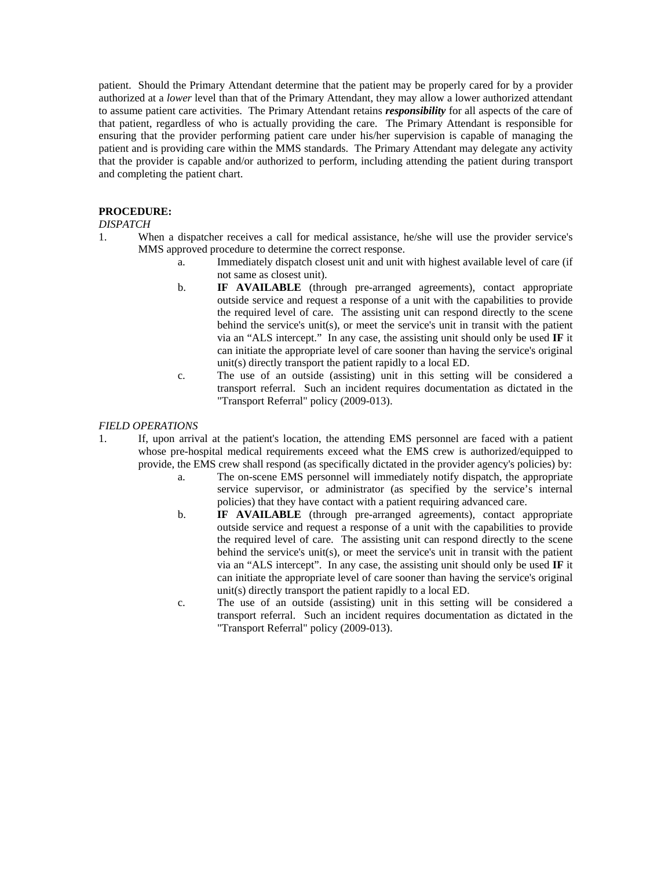patient. Should the Primary Attendant determine that the patient may be properly cared for by a provider authorized at a *lower* level than that of the Primary Attendant, they may allow a lower authorized attendant to assume patient care activities. The Primary Attendant retains *responsibility* for all aspects of the care of that patient, regardless of who is actually providing the care. The Primary Attendant is responsible for ensuring that the provider performing patient care under his/her supervision is capable of managing the patient and is providing care within the MMS standards. The Primary Attendant may delegate any activity that the provider is capable and/or authorized to perform, including attending the patient during transport and completing the patient chart.

## **PROCEDURE:**

## *DISPATCH*

- 1. When a dispatcher receives a call for medical assistance, he/she will use the provider service's MMS approved procedure to determine the correct response.
	- a. Immediately dispatch closest unit and unit with highest available level of care (if not same as closest unit).
	- b. **IF AVAILABLE** (through pre-arranged agreements), contact appropriate outside service and request a response of a unit with the capabilities to provide the required level of care. The assisting unit can respond directly to the scene behind the service's unit(s), or meet the service's unit in transit with the patient via an "ALS intercept." In any case, the assisting unit should only be used **IF** it can initiate the appropriate level of care sooner than having the service's original unit(s) directly transport the patient rapidly to a local ED.
	- c. The use of an outside (assisting) unit in this setting will be considered a transport referral. Such an incident requires documentation as dictated in the "Transport Referral" policy (2009-013).

## *FIELD OPERATIONS*

- 1. If, upon arrival at the patient's location, the attending EMS personnel are faced with a patient whose pre-hospital medical requirements exceed what the EMS crew is authorized/equipped to provide, the EMS crew shall respond (as specifically dictated in the provider agency's policies) by:
	- a. The on-scene EMS personnel will immediately notify dispatch, the appropriate service supervisor, or administrator (as specified by the service's internal policies) that they have contact with a patient requiring advanced care.
	- **b. IF AVAILABLE** (through pre-arranged agreements), contact appropriate outside service and request a response of a unit with the capabilities to provide the required level of care. The assisting unit can respond directly to the scene behind the service's unit(s), or meet the service's unit in transit with the patient via an "ALS intercept". In any case, the assisting unit should only be used **IF** it can initiate the appropriate level of care sooner than having the service's original unit(s) directly transport the patient rapidly to a local ED.
	- c. The use of an outside (assisting) unit in this setting will be considered a transport referral. Such an incident requires documentation as dictated in the "Transport Referral" policy (2009-013).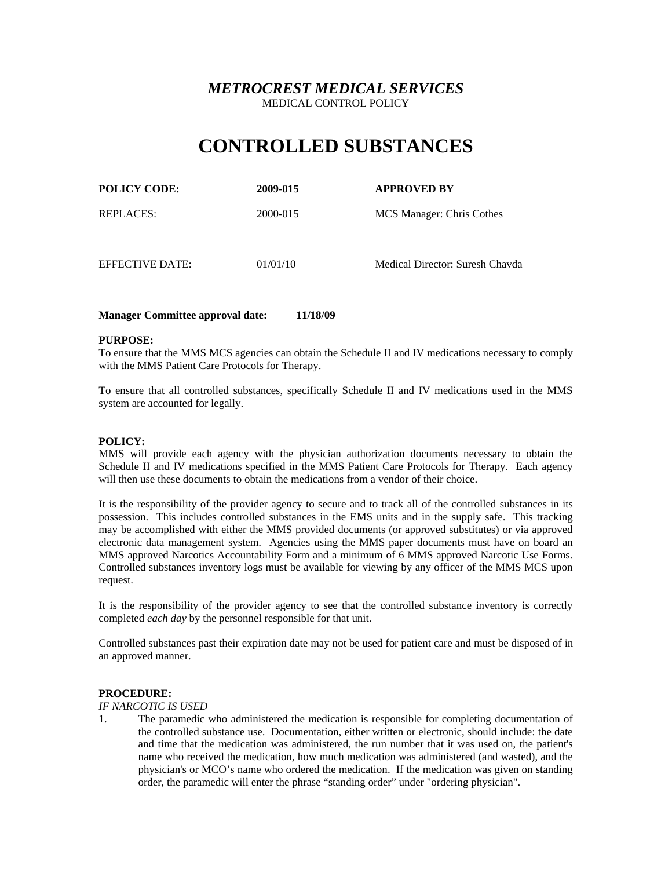# **CONTROLLED SUBSTANCES**

| <b>POLICY CODE:</b> | 2009-015 | <b>APPROVED BY</b>        |
|---------------------|----------|---------------------------|
| REPLACES:           | 2000-015 | MCS Manager: Chris Cothes |
|                     |          |                           |

EFFECTIVE DATE: 01/01/10 Medical Director: Suresh Chavda

## **Manager Committee approval date: 11/18/09**

### **PURPOSE:**

To ensure that the MMS MCS agencies can obtain the Schedule II and IV medications necessary to comply with the MMS Patient Care Protocols for Therapy.

To ensure that all controlled substances, specifically Schedule II and IV medications used in the MMS system are accounted for legally.

### **POLICY:**

MMS will provide each agency with the physician authorization documents necessary to obtain the Schedule II and IV medications specified in the MMS Patient Care Protocols for Therapy. Each agency will then use these documents to obtain the medications from a vendor of their choice.

It is the responsibility of the provider agency to secure and to track all of the controlled substances in its possession. This includes controlled substances in the EMS units and in the supply safe. This tracking may be accomplished with either the MMS provided documents (or approved substitutes) or via approved electronic data management system. Agencies using the MMS paper documents must have on board an MMS approved Narcotics Accountability Form and a minimum of 6 MMS approved Narcotic Use Forms. Controlled substances inventory logs must be available for viewing by any officer of the MMS MCS upon request.

It is the responsibility of the provider agency to see that the controlled substance inventory is correctly completed *each day* by the personnel responsible for that unit.

Controlled substances past their expiration date may not be used for patient care and must be disposed of in an approved manner.

## **PROCEDURE:**

### *IF NARCOTIC IS USED*

1. The paramedic who administered the medication is responsible for completing documentation of the controlled substance use. Documentation, either written or electronic, should include: the date and time that the medication was administered, the run number that it was used on, the patient's name who received the medication, how much medication was administered (and wasted), and the physician's or MCO's name who ordered the medication. If the medication was given on standing order, the paramedic will enter the phrase "standing order" under "ordering physician".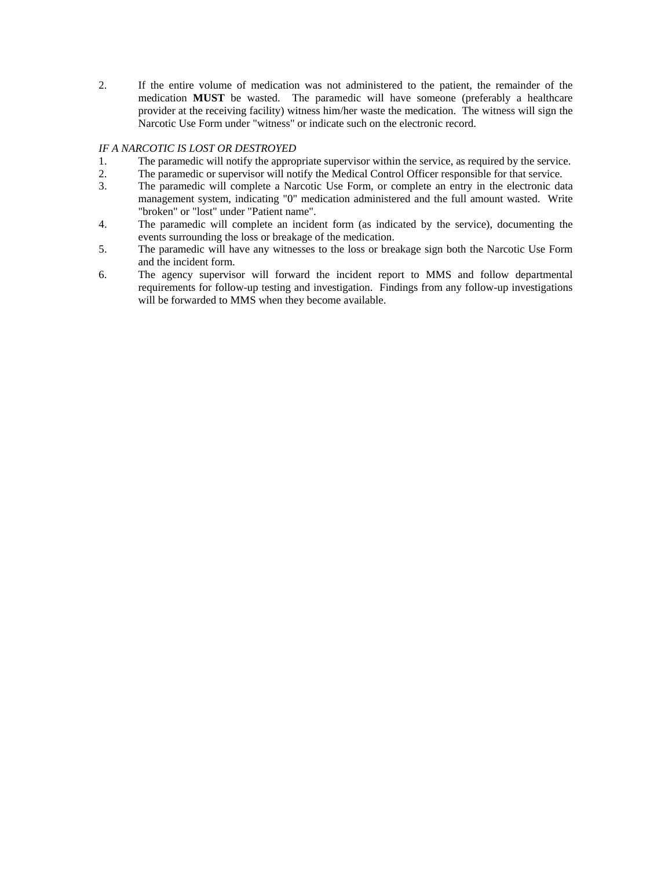2. If the entire volume of medication was not administered to the patient, the remainder of the medication **MUST** be wasted. The paramedic will have someone (preferably a healthcare provider at the receiving facility) witness him/her waste the medication. The witness will sign the Narcotic Use Form under "witness" or indicate such on the electronic record.

## *IF A NARCOTIC IS LOST OR DESTROYED*

- 1. The paramedic will notify the appropriate supervisor within the service, as required by the service.
- 2. The paramedic or supervisor will notify the Medical Control Officer responsible for that service.
- 3. The paramedic will complete a Narcotic Use Form, or complete an entry in the electronic data management system, indicating "0" medication administered and the full amount wasted. Write "broken" or "lost" under "Patient name".
- 4. The paramedic will complete an incident form (as indicated by the service), documenting the events surrounding the loss or breakage of the medication.
- 5. The paramedic will have any witnesses to the loss or breakage sign both the Narcotic Use Form and the incident form.
- 6. The agency supervisor will forward the incident report to MMS and follow departmental requirements for follow-up testing and investigation. Findings from any follow-up investigations will be forwarded to MMS when they become available.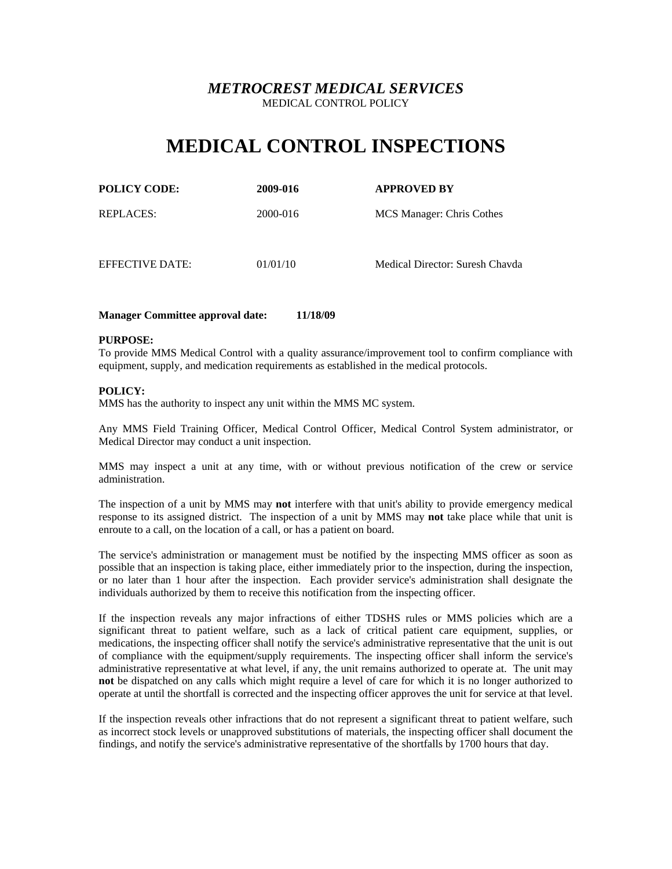# **MEDICAL CONTROL INSPECTIONS**

| <b>POLICY CODE:</b> | 2009-016 | <b>APPROVED BY</b>        |
|---------------------|----------|---------------------------|
| <b>REPLACES:</b>    | 2000-016 | MCS Manager: Chris Cothes |

EFFECTIVE DATE: 01/01/10 Medical Director: Suresh Chavda

## **Manager Committee approval date: 11/18/09**

## **PURPOSE:**

To provide MMS Medical Control with a quality assurance/improvement tool to confirm compliance with equipment, supply, and medication requirements as established in the medical protocols.

### **POLICY:**

MMS has the authority to inspect any unit within the MMS MC system.

Any MMS Field Training Officer, Medical Control Officer, Medical Control System administrator, or Medical Director may conduct a unit inspection.

MMS may inspect a unit at any time, with or without previous notification of the crew or service administration.

The inspection of a unit by MMS may **not** interfere with that unit's ability to provide emergency medical response to its assigned district. The inspection of a unit by MMS may **not** take place while that unit is enroute to a call, on the location of a call, or has a patient on board.

The service's administration or management must be notified by the inspecting MMS officer as soon as possible that an inspection is taking place, either immediately prior to the inspection, during the inspection, or no later than 1 hour after the inspection. Each provider service's administration shall designate the individuals authorized by them to receive this notification from the inspecting officer.

If the inspection reveals any major infractions of either TDSHS rules or MMS policies which are a significant threat to patient welfare, such as a lack of critical patient care equipment, supplies, or medications, the inspecting officer shall notify the service's administrative representative that the unit is out of compliance with the equipment/supply requirements. The inspecting officer shall inform the service's administrative representative at what level, if any, the unit remains authorized to operate at. The unit may **not** be dispatched on any calls which might require a level of care for which it is no longer authorized to operate at until the shortfall is corrected and the inspecting officer approves the unit for service at that level.

If the inspection reveals other infractions that do not represent a significant threat to patient welfare, such as incorrect stock levels or unapproved substitutions of materials, the inspecting officer shall document the findings, and notify the service's administrative representative of the shortfalls by 1700 hours that day.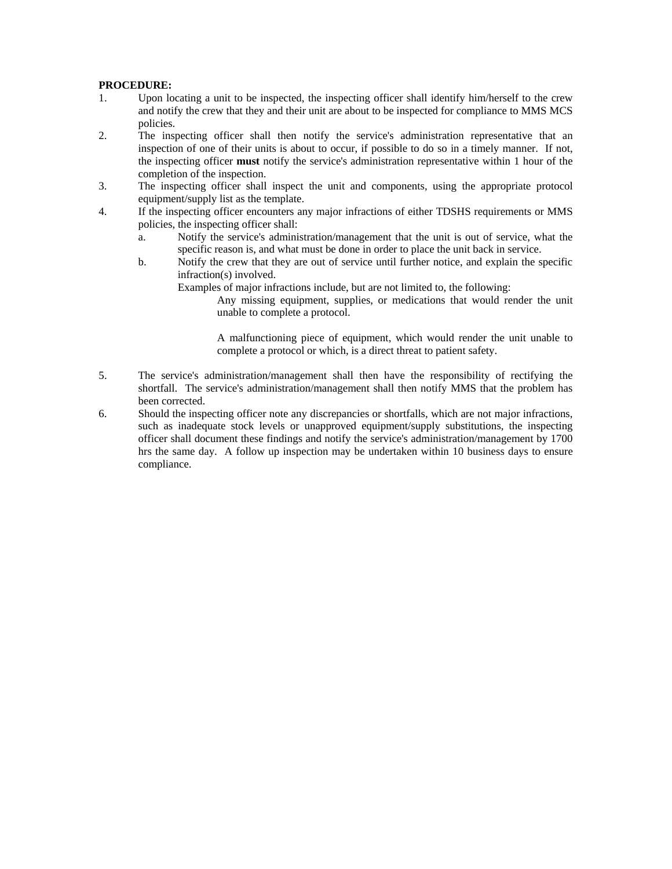## **PROCEDURE:**

- 1. Upon locating a unit to be inspected, the inspecting officer shall identify him/herself to the crew and notify the crew that they and their unit are about to be inspected for compliance to MMS MCS policies.
- 2. The inspecting officer shall then notify the service's administration representative that an inspection of one of their units is about to occur, if possible to do so in a timely manner. If not, the inspecting officer **must** notify the service's administration representative within 1 hour of the completion of the inspection.
- 3. The inspecting officer shall inspect the unit and components, using the appropriate protocol equipment/supply list as the template.
- 4. If the inspecting officer encounters any major infractions of either TDSHS requirements or MMS policies, the inspecting officer shall:
	- a. Notify the service's administration/management that the unit is out of service, what the specific reason is, and what must be done in order to place the unit back in service.
	- b. Notify the crew that they are out of service until further notice, and explain the specific infraction(s) involved.

Examples of major infractions include, but are not limited to, the following:

Any missing equipment, supplies, or medications that would render the unit unable to complete a protocol.

A malfunctioning piece of equipment, which would render the unit unable to complete a protocol or which, is a direct threat to patient safety.

- 5. The service's administration/management shall then have the responsibility of rectifying the shortfall. The service's administration/management shall then notify MMS that the problem has been corrected.
- 6. Should the inspecting officer note any discrepancies or shortfalls, which are not major infractions, such as inadequate stock levels or unapproved equipment/supply substitutions, the inspecting officer shall document these findings and notify the service's administration/management by 1700 hrs the same day. A follow up inspection may be undertaken within 10 business days to ensure compliance.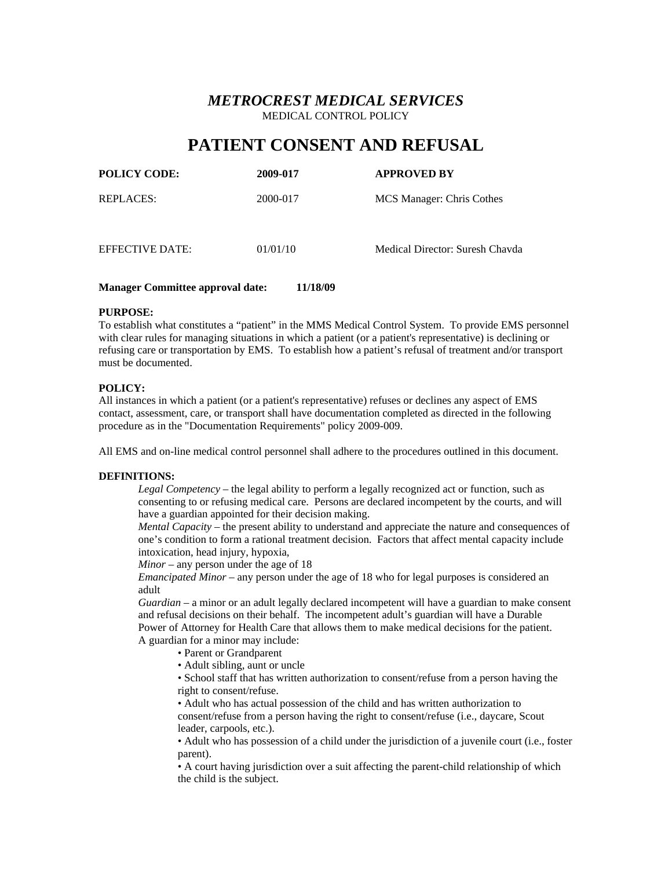# **PATIENT CONSENT AND REFUSAL**

| <b>POLICY CODE:</b> | 2009-017 | <b>APPROVED BY</b>              |
|---------------------|----------|---------------------------------|
| REPLACES:           | 2000-017 | MCS Manager: Chris Cothes       |
| EFFECTIVE DATE:     | 01/01/10 | Medical Director: Suresh Chavda |

## **Manager Committee approval date: 11/18/09**

### **PURPOSE:**

To establish what constitutes a "patient" in the MMS Medical Control System. To provide EMS personnel with clear rules for managing situations in which a patient (or a patient's representative) is declining or refusing care or transportation by EMS. To establish how a patient's refusal of treatment and/or transport must be documented.

### **POLICY:**

All instances in which a patient (or a patient's representative) refuses or declines any aspect of EMS contact, assessment, care, or transport shall have documentation completed as directed in the following procedure as in the "Documentation Requirements" policy 2009-009.

All EMS and on-line medical control personnel shall adhere to the procedures outlined in this document.

### **DEFINITIONS:**

*Legal Competency* – the legal ability to perform a legally recognized act or function, such as consenting to or refusing medical care. Persons are declared incompetent by the courts, and will have a guardian appointed for their decision making.

*Mental Capacity* – the present ability to understand and appreciate the nature and consequences of one's condition to form a rational treatment decision. Factors that affect mental capacity include intoxication, head injury, hypoxia,

*Minor* – any person under the age of 18

*Emancipated Minor* – any person under the age of 18 who for legal purposes is considered an adult

*Guardian* – a minor or an adult legally declared incompetent will have a guardian to make consent and refusal decisions on their behalf. The incompetent adult's guardian will have a Durable Power of Attorney for Health Care that allows them to make medical decisions for the patient. A guardian for a minor may include:

- Parent or Grandparent
- Adult sibling, aunt or uncle

• School staff that has written authorization to consent/refuse from a person having the right to consent/refuse.

• Adult who has actual possession of the child and has written authorization to consent/refuse from a person having the right to consent/refuse (i.e., daycare, Scout leader, carpools, etc.).

• Adult who has possession of a child under the jurisdiction of a juvenile court (i.e., foster parent).

• A court having jurisdiction over a suit affecting the parent-child relationship of which the child is the subject.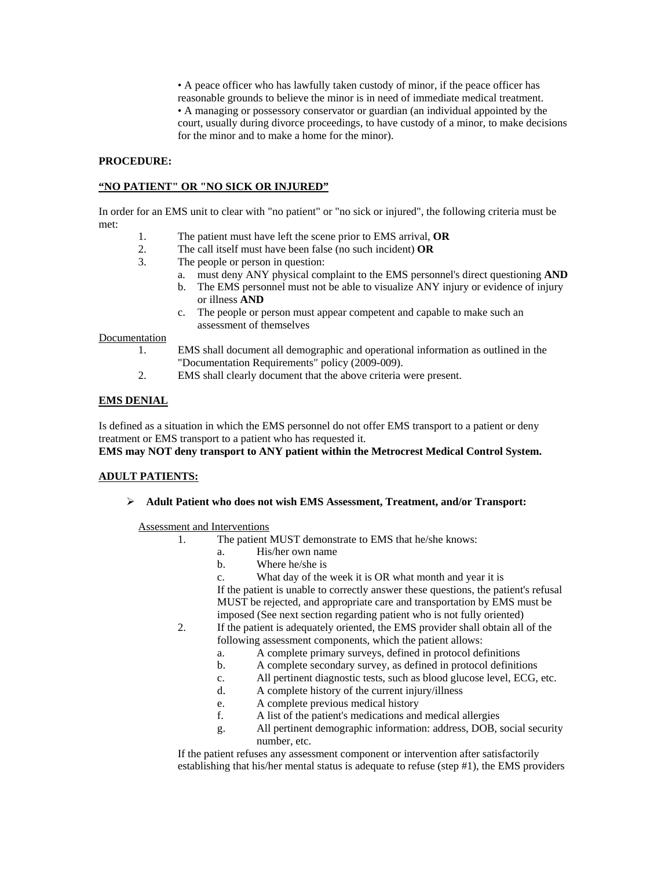• A peace officer who has lawfully taken custody of minor, if the peace officer has reasonable grounds to believe the minor is in need of immediate medical treatment. • A managing or possessory conservator or guardian (an individual appointed by the court, usually during divorce proceedings, to have custody of a minor, to make decisions for the minor and to make a home for the minor).

### **PROCEDURE:**

## **"NO PATIENT" OR "NO SICK OR INJURED"**

In order for an EMS unit to clear with "no patient" or "no sick or injured", the following criteria must be met:

- 1. The patient must have left the scene prior to EMS arrival, **OR**
- 2. The call itself must have been false (no such incident) **OR**
- 3. The people or person in question:
	- a. must deny ANY physical complaint to the EMS personnel's direct questioning **AND**
	- b. The EMS personnel must not be able to visualize ANY injury or evidence of injury or illness **AND**
	- c. The people or person must appear competent and capable to make such an assessment of themselves

### **Documentation**

- 1. EMS shall document all demographic and operational information as outlined in the "Documentation Requirements" policy (2009-009).
- 2. EMS shall clearly document that the above criteria were present.

## **EMS DENIAL**

Is defined as a situation in which the EMS personnel do not offer EMS transport to a patient or deny treatment or EMS transport to a patient who has requested it.

**EMS may NOT deny transport to ANY patient within the Metrocrest Medical Control System.** 

### **ADULT PATIENTS:**

**Adult Patient who does not wish EMS Assessment, Treatment, and/or Transport:**

### Assessment and Interventions

- 1. The patient MUST demonstrate to EMS that he/she knows:
	- a. His/her own name
	- b. Where he/she is
	- c. What day of the week it is OR what month and year it is

If the patient is unable to correctly answer these questions, the patient's refusal MUST be rejected, and appropriate care and transportation by EMS must be imposed (See next section regarding patient who is not fully oriented)

- 2. If the patient is adequately oriented, the EMS provider shall obtain all of the following assessment components, which the patient allows:
	- a. A complete primary surveys, defined in protocol definitions
	- b. A complete secondary survey, as defined in protocol definitions
	- c. All pertinent diagnostic tests, such as blood glucose level, ECG, etc.
	- d. A complete history of the current injury/illness
	- e. A complete previous medical history
	- f. A list of the patient's medications and medical allergies
	- g. All pertinent demographic information: address, DOB, social security number, etc.

If the patient refuses any assessment component or intervention after satisfactorily establishing that his/her mental status is adequate to refuse (step #1), the EMS providers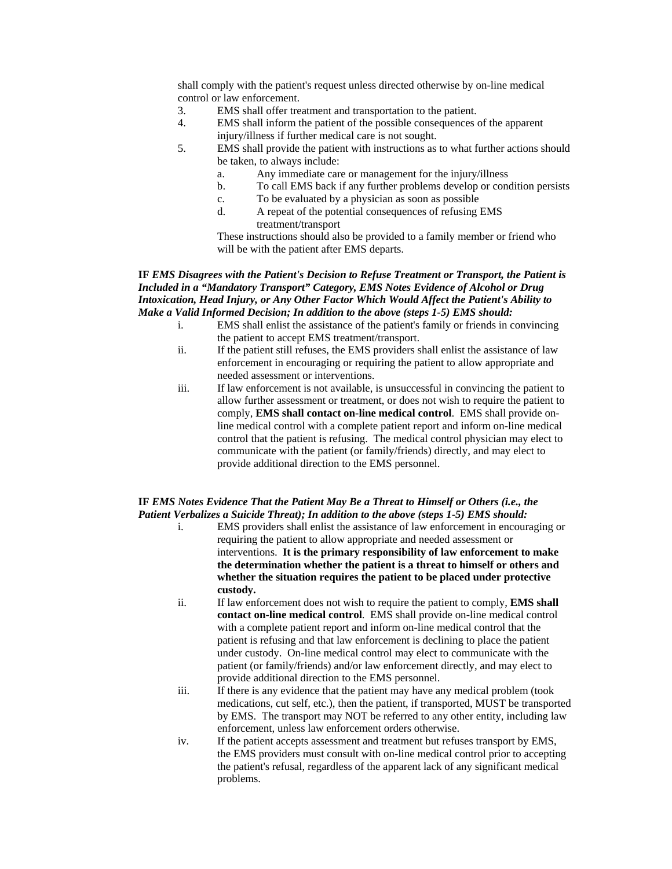shall comply with the patient's request unless directed otherwise by on-line medical control or law enforcement.

- 3. EMS shall offer treatment and transportation to the patient.
- 4. EMS shall inform the patient of the possible consequences of the apparent injury/illness if further medical care is not sought.
- 5. EMS shall provide the patient with instructions as to what further actions should be taken, to always include:
	- a. Any immediate care or management for the injury/illness
	- b. To call EMS back if any further problems develop or condition persists
	- c. To be evaluated by a physician as soon as possible
	- d. A repeat of the potential consequences of refusing EMS treatment/transport

These instructions should also be provided to a family member or friend who will be with the patient after EMS departs.

## **IF** *EMS Disagrees with the Patient's Decision to Refuse Treatment or Transport, the Patient is Included in a "Mandatory Transport" Category, EMS Notes Evidence of Alcohol or Drug Intoxication, Head Injury, or Any Other Factor Which Would Affect the Patient's Ability to Make a Valid Informed Decision; In addition to the above (steps 1-5) EMS should:*

- i. EMS shall enlist the assistance of the patient's family or friends in convincing the patient to accept EMS treatment/transport.
- ii. If the patient still refuses, the EMS providers shall enlist the assistance of law enforcement in encouraging or requiring the patient to allow appropriate and needed assessment or interventions.
- iii. If law enforcement is not available, is unsuccessful in convincing the patient to allow further assessment or treatment, or does not wish to require the patient to comply, **EMS shall contact on-line medical control**. EMS shall provide online medical control with a complete patient report and inform on-line medical control that the patient is refusing. The medical control physician may elect to communicate with the patient (or family/friends) directly, and may elect to provide additional direction to the EMS personnel.

## **IF** *EMS Notes Evidence That the Patient May Be a Threat to Himself or Others (i.e., the Patient Verbalizes a Suicide Threat); In addition to the above (steps 1-5) EMS should:*

- i. EMS providers shall enlist the assistance of law enforcement in encouraging or requiring the patient to allow appropriate and needed assessment or interventions. **It is the primary responsibility of law enforcement to make the determination whether the patient is a threat to himself or others and whether the situation requires the patient to be placed under protective custody.**
- ii. If law enforcement does not wish to require the patient to comply, **EMS shall contact on-line medical control**. EMS shall provide on-line medical control with a complete patient report and inform on-line medical control that the patient is refusing and that law enforcement is declining to place the patient under custody. On-line medical control may elect to communicate with the patient (or family/friends) and/or law enforcement directly, and may elect to provide additional direction to the EMS personnel.
- iii. If there is any evidence that the patient may have any medical problem (took medications, cut self, etc.), then the patient, if transported, MUST be transported by EMS. The transport may NOT be referred to any other entity, including law enforcement, unless law enforcement orders otherwise.
- iv. If the patient accepts assessment and treatment but refuses transport by EMS, the EMS providers must consult with on-line medical control prior to accepting the patient's refusal, regardless of the apparent lack of any significant medical problems.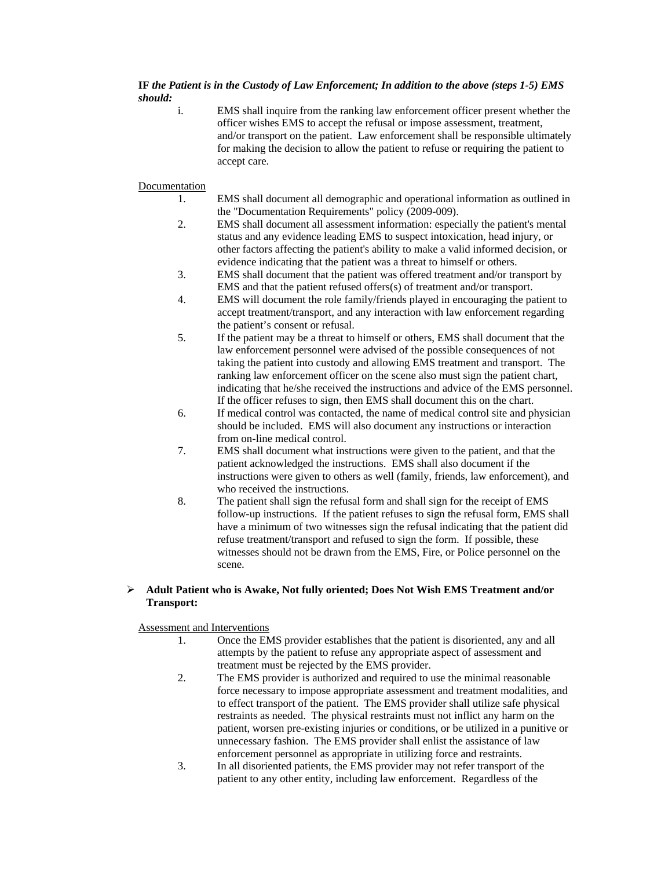## **IF** *the Patient is in the Custody of Law Enforcement; In addition to the above (steps 1-5) EMS should:*

i. EMS shall inquire from the ranking law enforcement officer present whether the officer wishes EMS to accept the refusal or impose assessment, treatment, and/or transport on the patient. Law enforcement shall be responsible ultimately for making the decision to allow the patient to refuse or requiring the patient to accept care.

## Documentation

- 1. EMS shall document all demographic and operational information as outlined in the "Documentation Requirements" policy (2009-009).
- 2. EMS shall document all assessment information: especially the patient's mental status and any evidence leading EMS to suspect intoxication, head injury, or other factors affecting the patient's ability to make a valid informed decision, or evidence indicating that the patient was a threat to himself or others.
- 3. EMS shall document that the patient was offered treatment and/or transport by EMS and that the patient refused offers(s) of treatment and/or transport.
- 4. EMS will document the role family/friends played in encouraging the patient to accept treatment/transport, and any interaction with law enforcement regarding the patient's consent or refusal.
- 5. If the patient may be a threat to himself or others, EMS shall document that the law enforcement personnel were advised of the possible consequences of not taking the patient into custody and allowing EMS treatment and transport. The ranking law enforcement officer on the scene also must sign the patient chart, indicating that he/she received the instructions and advice of the EMS personnel. If the officer refuses to sign, then EMS shall document this on the chart.
- 6. If medical control was contacted, the name of medical control site and physician should be included. EMS will also document any instructions or interaction from on-line medical control.
- 7. EMS shall document what instructions were given to the patient, and that the patient acknowledged the instructions. EMS shall also document if the instructions were given to others as well (family, friends, law enforcement), and who received the instructions.
- 8. The patient shall sign the refusal form and shall sign for the receipt of EMS follow-up instructions. If the patient refuses to sign the refusal form, EMS shall have a minimum of two witnesses sign the refusal indicating that the patient did refuse treatment/transport and refused to sign the form. If possible, these witnesses should not be drawn from the EMS, Fire, or Police personnel on the scene.

## **Adult Patient who is Awake, Not fully oriented; Does Not Wish EMS Treatment and/or Transport:**

## Assessment and Interventions

- 1. Once the EMS provider establishes that the patient is disoriented, any and all attempts by the patient to refuse any appropriate aspect of assessment and treatment must be rejected by the EMS provider.
- 2. The EMS provider is authorized and required to use the minimal reasonable force necessary to impose appropriate assessment and treatment modalities, and to effect transport of the patient. The EMS provider shall utilize safe physical restraints as needed. The physical restraints must not inflict any harm on the patient, worsen pre-existing injuries or conditions, or be utilized in a punitive or unnecessary fashion. The EMS provider shall enlist the assistance of law enforcement personnel as appropriate in utilizing force and restraints.
- 3. In all disoriented patients, the EMS provider may not refer transport of the patient to any other entity, including law enforcement. Regardless of the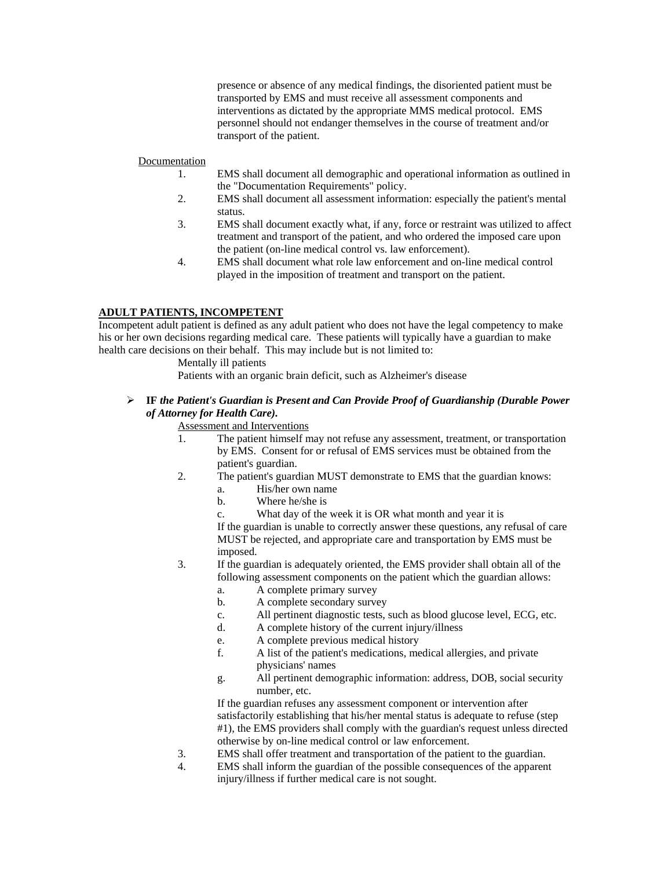presence or absence of any medical findings, the disoriented patient must be transported by EMS and must receive all assessment components and interventions as dictated by the appropriate MMS medical protocol. EMS personnel should not endanger themselves in the course of treatment and/or transport of the patient.

## Documentation

- 1. EMS shall document all demographic and operational information as outlined in the "Documentation Requirements" policy.
- 2. EMS shall document all assessment information: especially the patient's mental status.
- 3. EMS shall document exactly what, if any, force or restraint was utilized to affect treatment and transport of the patient, and who ordered the imposed care upon the patient (on-line medical control vs. law enforcement).
- 4. EMS shall document what role law enforcement and on-line medical control played in the imposition of treatment and transport on the patient.

## **ADULT PATIENTS, INCOMPETENT**

Incompetent adult patient is defined as any adult patient who does not have the legal competency to make his or her own decisions regarding medical care. These patients will typically have a guardian to make health care decisions on their behalf. This may include but is not limited to:

Mentally ill patients

Patients with an organic brain deficit, such as Alzheimer's disease

 **IF** *the Patient's Guardian is Present and Can Provide Proof of Guardianship (Durable Power of Attorney for Health Care).* 

### Assessment and Interventions

- 1. The patient himself may not refuse any assessment, treatment, or transportation by EMS. Consent for or refusal of EMS services must be obtained from the patient's guardian.
- 2. The patient's guardian MUST demonstrate to EMS that the guardian knows:
	- a. His/her own name
	- b. Where he/she is
	- c. What day of the week it is OR what month and year it is

If the guardian is unable to correctly answer these questions, any refusal of care MUST be rejected, and appropriate care and transportation by EMS must be imposed.

- 3. If the guardian is adequately oriented, the EMS provider shall obtain all of the following assessment components on the patient which the guardian allows:
	- a. A complete primary survey
	- b. A complete secondary survey
	- c. All pertinent diagnostic tests, such as blood glucose level, ECG, etc.
	- d. A complete history of the current injury/illness
	- e. A complete previous medical history
	- f. A list of the patient's medications, medical allergies, and private physicians' names
	- g. All pertinent demographic information: address, DOB, social security number, etc.

If the guardian refuses any assessment component or intervention after satisfactorily establishing that his/her mental status is adequate to refuse (step #1), the EMS providers shall comply with the guardian's request unless directed otherwise by on-line medical control or law enforcement.

- 3. EMS shall offer treatment and transportation of the patient to the guardian.
- 4. EMS shall inform the guardian of the possible consequences of the apparent injury/illness if further medical care is not sought.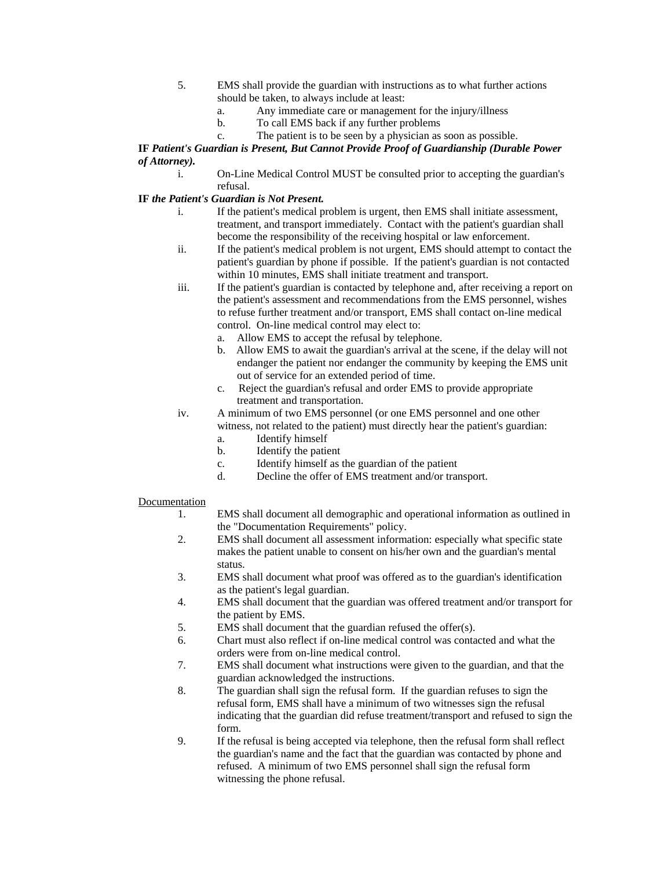- 5. EMS shall provide the guardian with instructions as to what further actions should be taken, to always include at least:
	- a. Any immediate care or management for the injury/illness
	- b. To call EMS back if any further problems
	- c. The patient is to be seen by a physician as soon as possible.

## **IF** *Patient's Guardian is Present, But Cannot Provide Proof of Guardianship (Durable Power of Attorney).*

i. On-Line Medical Control MUST be consulted prior to accepting the guardian's refusal.

## **IF** *the Patient's Guardian is Not Present.*

- i. If the patient's medical problem is urgent, then EMS shall initiate assessment, treatment, and transport immediately. Contact with the patient's guardian shall become the responsibility of the receiving hospital or law enforcement.
- ii. If the patient's medical problem is not urgent, EMS should attempt to contact the patient's guardian by phone if possible. If the patient's guardian is not contacted within 10 minutes, EMS shall initiate treatment and transport.
- iii. If the patient's guardian is contacted by telephone and, after receiving a report on the patient's assessment and recommendations from the EMS personnel, wishes to refuse further treatment and/or transport, EMS shall contact on-line medical control. On-line medical control may elect to:
	- a. Allow EMS to accept the refusal by telephone.
	- b. Allow EMS to await the guardian's arrival at the scene, if the delay will not endanger the patient nor endanger the community by keeping the EMS unit out of service for an extended period of time.
	- c. Reject the guardian's refusal and order EMS to provide appropriate treatment and transportation.

## iv. A minimum of two EMS personnel (or one EMS personnel and one other witness, not related to the patient) must directly hear the patient's guardian:

- a. Identify himself
- b. Identify the patient
- c. Identify himself as the guardian of the patient
- d. Decline the offer of EMS treatment and/or transport.

## Documentation

- 1. EMS shall document all demographic and operational information as outlined in the "Documentation Requirements" policy.
- 2. EMS shall document all assessment information: especially what specific state makes the patient unable to consent on his/her own and the guardian's mental status.
- 3. EMS shall document what proof was offered as to the guardian's identification as the patient's legal guardian.
- 4. EMS shall document that the guardian was offered treatment and/or transport for the patient by EMS.
- 5. EMS shall document that the guardian refused the offer(s).
- 6. Chart must also reflect if on-line medical control was contacted and what the orders were from on-line medical control.
- 7. EMS shall document what instructions were given to the guardian, and that the guardian acknowledged the instructions.
- 8. The guardian shall sign the refusal form. If the guardian refuses to sign the refusal form, EMS shall have a minimum of two witnesses sign the refusal indicating that the guardian did refuse treatment/transport and refused to sign the form.
- 9. If the refusal is being accepted via telephone, then the refusal form shall reflect the guardian's name and the fact that the guardian was contacted by phone and refused. A minimum of two EMS personnel shall sign the refusal form witnessing the phone refusal.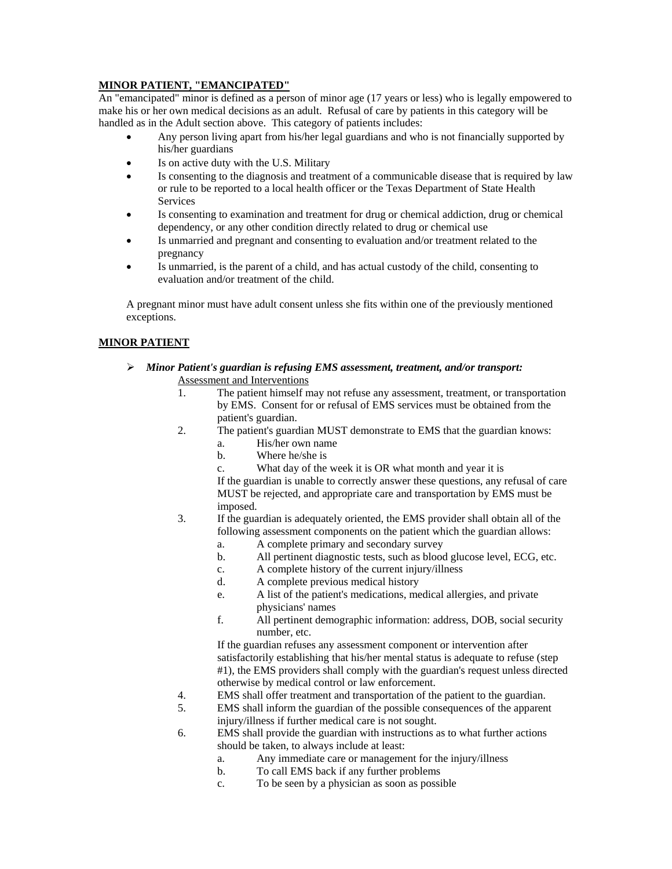## **MINOR PATIENT, "EMANCIPATED"**

An "emancipated" minor is defined as a person of minor age (17 years or less) who is legally empowered to make his or her own medical decisions as an adult. Refusal of care by patients in this category will be handled as in the Adult section above. This category of patients includes:

- Any person living apart from his/her legal guardians and who is not financially supported by his/her guardians
- Is on active duty with the U.S. Military
- Is consenting to the diagnosis and treatment of a communicable disease that is required by law or rule to be reported to a local health officer or the Texas Department of State Health Services
- Is consenting to examination and treatment for drug or chemical addiction, drug or chemical dependency, or any other condition directly related to drug or chemical use
- Is unmarried and pregnant and consenting to evaluation and/or treatment related to the pregnancy
- Is unmarried, is the parent of a child, and has actual custody of the child, consenting to evaluation and/or treatment of the child.

A pregnant minor must have adult consent unless she fits within one of the previously mentioned exceptions.

## **MINOR PATIENT**

- *Minor Patient's guardian is refusing EMS assessment, treatment, and/or transport:*  Assessment and Interventions
	- 1. The patient himself may not refuse any assessment, treatment, or transportation by EMS. Consent for or refusal of EMS services must be obtained from the patient's guardian.
	- 2. The patient's guardian MUST demonstrate to EMS that the guardian knows:
		- a. His/her own name
		- b. Where he/she is
		- c. What day of the week it is OR what month and year it is

If the guardian is unable to correctly answer these questions, any refusal of care MUST be rejected, and appropriate care and transportation by EMS must be imposed.

- 3. If the guardian is adequately oriented, the EMS provider shall obtain all of the following assessment components on the patient which the guardian allows:
	- a. A complete primary and secondary survey
	- b. All pertinent diagnostic tests, such as blood glucose level, ECG, etc.
	- c. A complete history of the current injury/illness
	- d. A complete previous medical history
	- e. A list of the patient's medications, medical allergies, and private physicians' names
	- f. All pertinent demographic information: address, DOB, social security number, etc.

If the guardian refuses any assessment component or intervention after satisfactorily establishing that his/her mental status is adequate to refuse (step #1), the EMS providers shall comply with the guardian's request unless directed otherwise by medical control or law enforcement.

- 4. EMS shall offer treatment and transportation of the patient to the guardian.
- 5. EMS shall inform the guardian of the possible consequences of the apparent injury/illness if further medical care is not sought.
- 6. EMS shall provide the guardian with instructions as to what further actions should be taken, to always include at least:
	- a. Any immediate care or management for the injury/illness
	- b. To call EMS back if any further problems
	- c. To be seen by a physician as soon as possible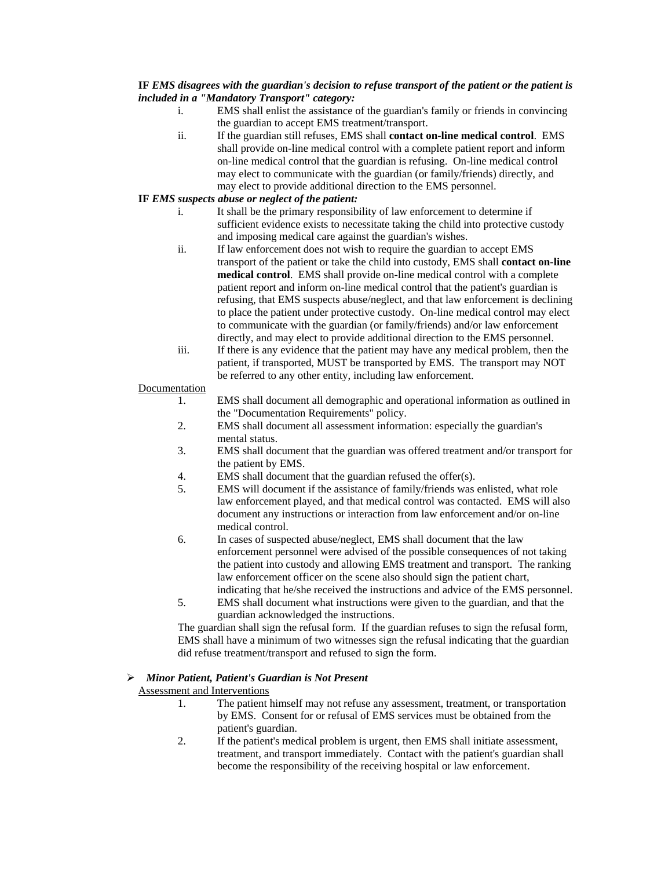## **IF** *EMS disagrees with the guardian's decision to refuse transport of the patient or the patient is included in a "Mandatory Transport" category:*

- i. EMS shall enlist the assistance of the guardian's family or friends in convincing the guardian to accept EMS treatment/transport.
- ii. If the guardian still refuses, EMS shall **contact on-line medical control**. EMS shall provide on-line medical control with a complete patient report and inform on-line medical control that the guardian is refusing. On-line medical control may elect to communicate with the guardian (or family/friends) directly, and may elect to provide additional direction to the EMS personnel.

## **IF** *EMS suspects abuse or neglect of the patient:*

- i. It shall be the primary responsibility of law enforcement to determine if sufficient evidence exists to necessitate taking the child into protective custody and imposing medical care against the guardian's wishes.
- ii. If law enforcement does not wish to require the guardian to accept EMS transport of the patient or take the child into custody, EMS shall **contact on-line medical control**. EMS shall provide on-line medical control with a complete patient report and inform on-line medical control that the patient's guardian is refusing, that EMS suspects abuse/neglect, and that law enforcement is declining to place the patient under protective custody. On-line medical control may elect to communicate with the guardian (or family/friends) and/or law enforcement directly, and may elect to provide additional direction to the EMS personnel.
- iii. If there is any evidence that the patient may have any medical problem, then the patient, if transported, MUST be transported by EMS. The transport may NOT be referred to any other entity, including law enforcement.

## Documentation

- 1. EMS shall document all demographic and operational information as outlined in the "Documentation Requirements" policy.
- 2. EMS shall document all assessment information: especially the guardian's mental status.
- 3. EMS shall document that the guardian was offered treatment and/or transport for the patient by EMS.
- 4. EMS shall document that the guardian refused the offer(s).
- 5. EMS will document if the assistance of family/friends was enlisted, what role law enforcement played, and that medical control was contacted. EMS will also document any instructions or interaction from law enforcement and/or on-line medical control.
- 6. In cases of suspected abuse/neglect, EMS shall document that the law enforcement personnel were advised of the possible consequences of not taking the patient into custody and allowing EMS treatment and transport. The ranking law enforcement officer on the scene also should sign the patient chart, indicating that he/she received the instructions and advice of the EMS personnel.
- 5. EMS shall document what instructions were given to the guardian, and that the guardian acknowledged the instructions.

The guardian shall sign the refusal form. If the guardian refuses to sign the refusal form, EMS shall have a minimum of two witnesses sign the refusal indicating that the guardian did refuse treatment/transport and refused to sign the form.

## *Minor Patient, Patient's Guardian is Not Present*

Assessment and Interventions

- 1. The patient himself may not refuse any assessment, treatment, or transportation by EMS. Consent for or refusal of EMS services must be obtained from the patient's guardian.
- 2. If the patient's medical problem is urgent, then EMS shall initiate assessment, treatment, and transport immediately. Contact with the patient's guardian shall become the responsibility of the receiving hospital or law enforcement.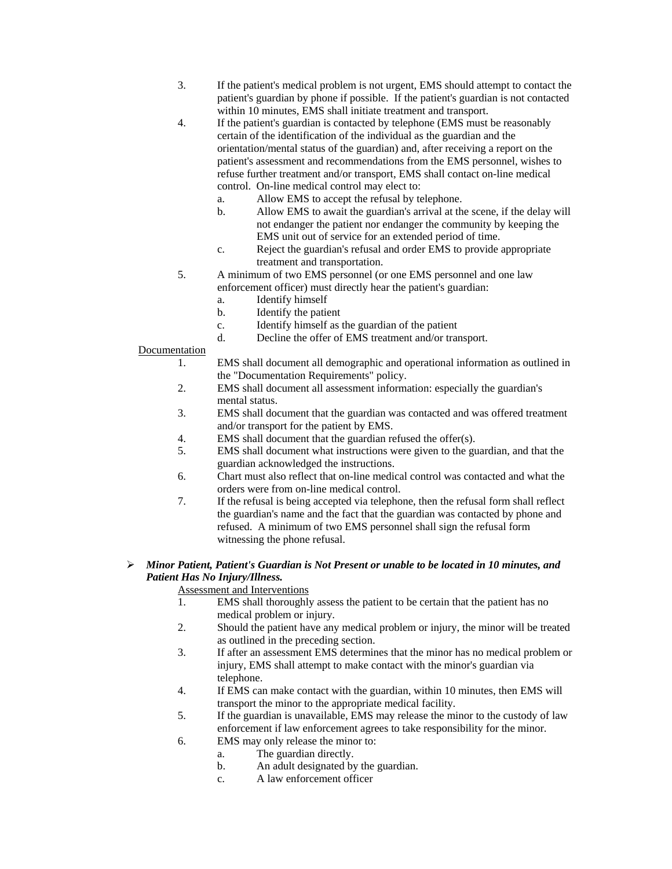- 3. If the patient's medical problem is not urgent, EMS should attempt to contact the patient's guardian by phone if possible. If the patient's guardian is not contacted within 10 minutes, EMS shall initiate treatment and transport.
- 4. If the patient's guardian is contacted by telephone (EMS must be reasonably certain of the identification of the individual as the guardian and the orientation/mental status of the guardian) and, after receiving a report on the patient's assessment and recommendations from the EMS personnel, wishes to refuse further treatment and/or transport, EMS shall contact on-line medical control. On-line medical control may elect to:
	- a. Allow EMS to accept the refusal by telephone.
	- b. Allow EMS to await the guardian's arrival at the scene, if the delay will not endanger the patient nor endanger the community by keeping the EMS unit out of service for an extended period of time.
	- c. Reject the guardian's refusal and order EMS to provide appropriate treatment and transportation.
- 5. A minimum of two EMS personnel (or one EMS personnel and one law enforcement officer) must directly hear the patient's guardian:
	- a. Identify himself
	- b. Identify the patient
	- c. Identify himself as the guardian of the patient
	- d. Decline the offer of EMS treatment and/or transport.
- Documentation
	- 1. EMS shall document all demographic and operational information as outlined in the "Documentation Requirements" policy.
	- 2. EMS shall document all assessment information: especially the guardian's mental status.
	- 3. EMS shall document that the guardian was contacted and was offered treatment and/or transport for the patient by EMS.
	- 4. EMS shall document that the guardian refused the offer(s).
	- 5. EMS shall document what instructions were given to the guardian, and that the guardian acknowledged the instructions.
	- 6. Chart must also reflect that on-line medical control was contacted and what the orders were from on-line medical control.
	- 7. If the refusal is being accepted via telephone, then the refusal form shall reflect the guardian's name and the fact that the guardian was contacted by phone and refused. A minimum of two EMS personnel shall sign the refusal form witnessing the phone refusal.

## *Minor Patient, Patient's Guardian is Not Present or unable to be located in 10 minutes, and Patient Has No Injury/Illness.*

Assessment and Interventions

- 1. EMS shall thoroughly assess the patient to be certain that the patient has no medical problem or injury.
- 2. Should the patient have any medical problem or injury, the minor will be treated as outlined in the preceding section.
- 3. If after an assessment EMS determines that the minor has no medical problem or injury, EMS shall attempt to make contact with the minor's guardian via telephone.
- 4. If EMS can make contact with the guardian, within 10 minutes, then EMS will transport the minor to the appropriate medical facility.
- 5. If the guardian is unavailable, EMS may release the minor to the custody of law enforcement if law enforcement agrees to take responsibility for the minor.
- 6. EMS may only release the minor to:
	- a. The guardian directly.
	- b. An adult designated by the guardian.
	- c. A law enforcement officer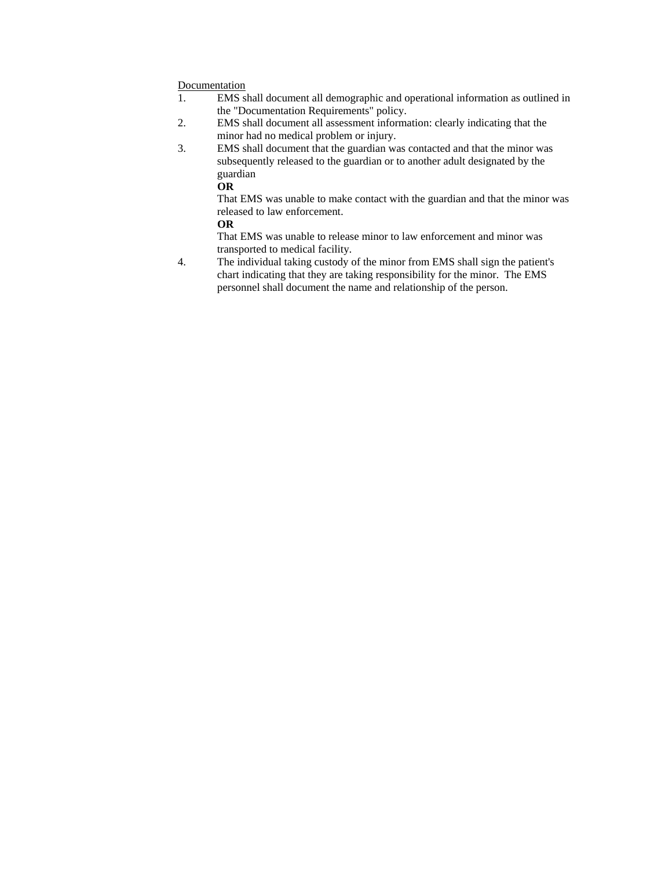## **Documentation**

- 1. EMS shall document all demographic and operational information as outlined in the "Documentation Requirements" policy.
- 2. EMS shall document all assessment information: clearly indicating that the minor had no medical problem or injury.
- 3. EMS shall document that the guardian was contacted and that the minor was subsequently released to the guardian or to another adult designated by the guardian

**OR** 

That EMS was unable to make contact with the guardian and that the minor was released to law enforcement.

### **OR**

That EMS was unable to release minor to law enforcement and minor was transported to medical facility.

4. The individual taking custody of the minor from EMS shall sign the patient's chart indicating that they are taking responsibility for the minor. The EMS personnel shall document the name and relationship of the person.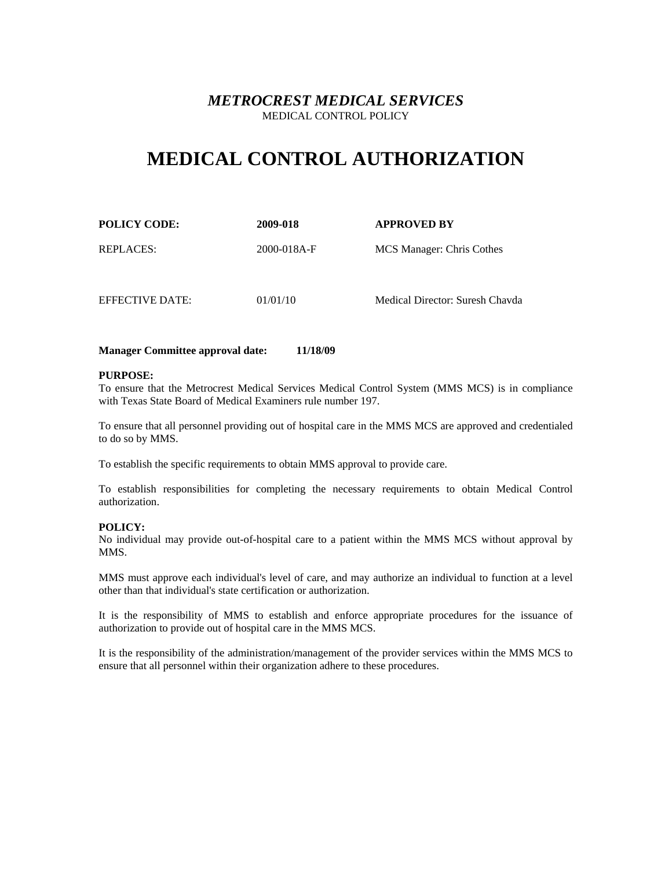# **MEDICAL CONTROL AUTHORIZATION**

| <b>POLICY CODE:</b> | 2009-018    | <b>APPROVED BY</b>              |
|---------------------|-------------|---------------------------------|
| <b>REPLACES:</b>    | 2000-018A-F | MCS Manager: Chris Cothes       |
| EFFECTIVE DATE:     | 01/01/10    | Medical Director: Suresh Chayda |

## **Manager Committee approval date: 11/18/09**

#### **PURPOSE:**

To ensure that the Metrocrest Medical Services Medical Control System (MMS MCS) is in compliance with Texas State Board of Medical Examiners rule number 197.

To ensure that all personnel providing out of hospital care in the MMS MCS are approved and credentialed to do so by MMS.

To establish the specific requirements to obtain MMS approval to provide care.

To establish responsibilities for completing the necessary requirements to obtain Medical Control authorization.

### **POLICY:**

No individual may provide out-of-hospital care to a patient within the MMS MCS without approval by MMS.

MMS must approve each individual's level of care, and may authorize an individual to function at a level other than that individual's state certification or authorization.

It is the responsibility of MMS to establish and enforce appropriate procedures for the issuance of authorization to provide out of hospital care in the MMS MCS.

It is the responsibility of the administration/management of the provider services within the MMS MCS to ensure that all personnel within their organization adhere to these procedures.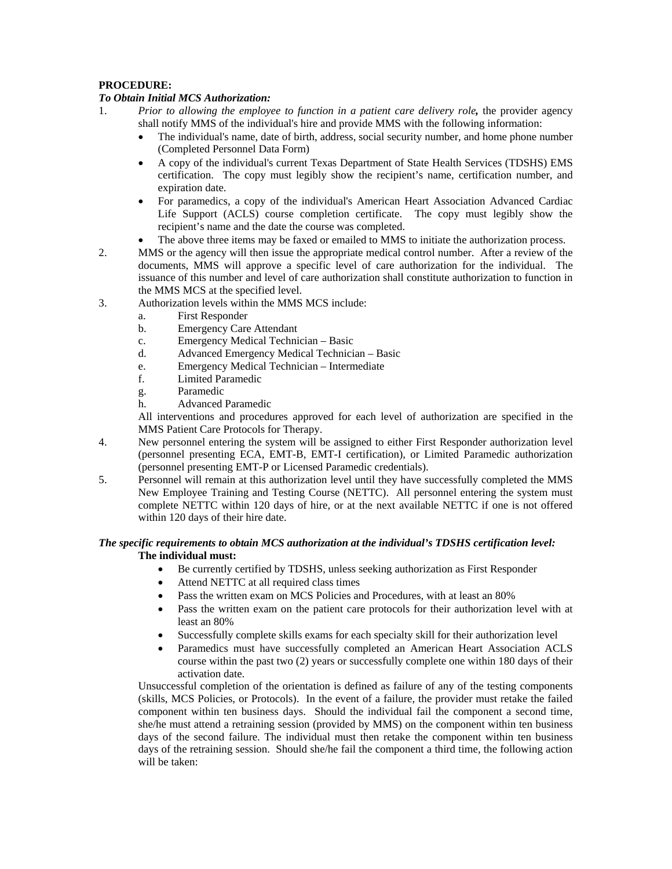## **PROCEDURE:**

## *To Obtain Initial MCS Authorization:*

- 1. *Prior to allowing the employee to function in a patient care delivery role,* the provider agency shall notify MMS of the individual's hire and provide MMS with the following information:
	- The individual's name, date of birth, address, social security number, and home phone number (Completed Personnel Data Form)
	- A copy of the individual's current Texas Department of State Health Services (TDSHS) EMS certification. The copy must legibly show the recipient's name, certification number, and expiration date.
	- For paramedics, a copy of the individual's American Heart Association Advanced Cardiac Life Support (ACLS) course completion certificate. The copy must legibly show the recipient's name and the date the course was completed.
	- The above three items may be faxed or emailed to MMS to initiate the authorization process.
- 2. MMS or the agency will then issue the appropriate medical control number. After a review of the documents, MMS will approve a specific level of care authorization for the individual. The issuance of this number and level of care authorization shall constitute authorization to function in the MMS MCS at the specified level.
- 3. Authorization levels within the MMS MCS include:
	- a. First Responder
	- b. Emergency Care Attendant
	- c. Emergency Medical Technician Basic
	- d. Advanced Emergency Medical Technician Basic
	- e. Emergency Medical Technician Intermediate
	- f. Limited Paramedic
	- g. Paramedic
	- h. Advanced Paramedic

All interventions and procedures approved for each level of authorization are specified in the MMS Patient Care Protocols for Therapy.

- 4. New personnel entering the system will be assigned to either First Responder authorization level (personnel presenting ECA, EMT-B, EMT-I certification), or Limited Paramedic authorization (personnel presenting EMT-P or Licensed Paramedic credentials).
- 5. Personnel will remain at this authorization level until they have successfully completed the MMS New Employee Training and Testing Course (NETTC). All personnel entering the system must complete NETTC within 120 days of hire, or at the next available NETTC if one is not offered within 120 days of their hire date.

## *The specific requirements to obtain MCS authorization at the individual's TDSHS certification level:*  **The individual must:**

- Be currently certified by TDSHS, unless seeking authorization as First Responder
- Attend NETTC at all required class times
- Pass the written exam on MCS Policies and Procedures, with at least an 80%
- Pass the written exam on the patient care protocols for their authorization level with at least an 80%
- Successfully complete skills exams for each specialty skill for their authorization level
- Paramedics must have successfully completed an American Heart Association ACLS course within the past two (2) years or successfully complete one within 180 days of their activation date.

 Unsuccessful completion of the orientation is defined as failure of any of the testing components (skills, MCS Policies, or Protocols). In the event of a failure, the provider must retake the failed component within ten business days. Should the individual fail the component a second time, she/he must attend a retraining session (provided by MMS) on the component within ten business days of the second failure. The individual must then retake the component within ten business days of the retraining session. Should she/he fail the component a third time, the following action will be taken: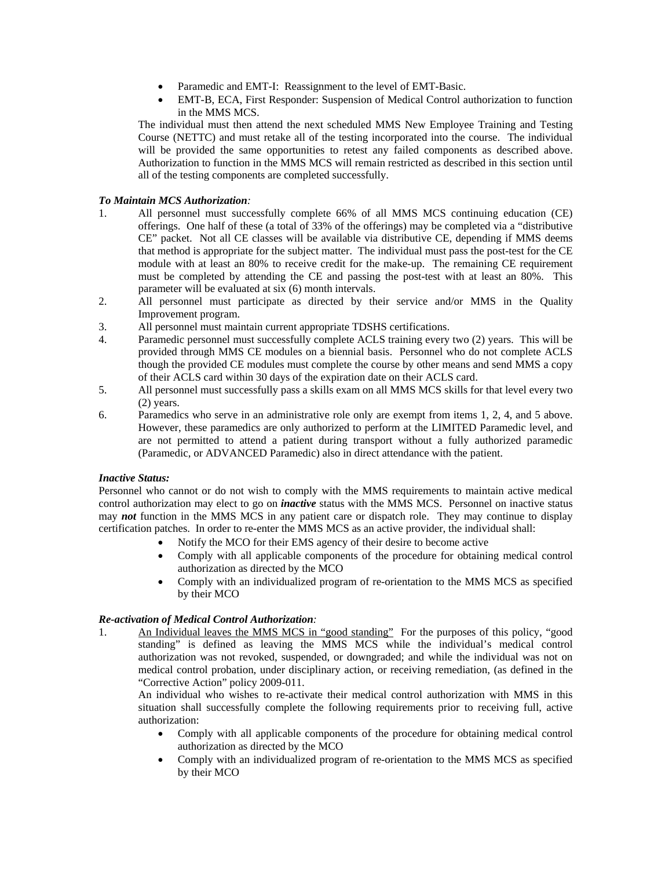- Paramedic and EMT-I: Reassignment to the level of EMT-Basic.
- EMT-B, ECA, First Responder: Suspension of Medical Control authorization to function in the MMS MCS.

The individual must then attend the next scheduled MMS New Employee Training and Testing Course (NETTC) and must retake all of the testing incorporated into the course. The individual will be provided the same opportunities to retest any failed components as described above. Authorization to function in the MMS MCS will remain restricted as described in this section until all of the testing components are completed successfully.

## *To Maintain MCS Authorization:*

- 1. All personnel must successfully complete 66% of all MMS MCS continuing education (CE) offerings. One half of these (a total of 33% of the offerings) may be completed via a "distributive CE" packet. Not all CE classes will be available via distributive CE, depending if MMS deems that method is appropriate for the subject matter. The individual must pass the post-test for the CE module with at least an 80% to receive credit for the make-up. The remaining CE requirement must be completed by attending the CE and passing the post-test with at least an 80%. This parameter will be evaluated at six (6) month intervals.
- 2. All personnel must participate as directed by their service and/or MMS in the Quality Improvement program.
- 3. All personnel must maintain current appropriate TDSHS certifications.
- 4. Paramedic personnel must successfully complete ACLS training every two (2) years. This will be provided through MMS CE modules on a biennial basis. Personnel who do not complete ACLS though the provided CE modules must complete the course by other means and send MMS a copy of their ACLS card within 30 days of the expiration date on their ACLS card.
- 5. All personnel must successfully pass a skills exam on all MMS MCS skills for that level every two (2) years.
- 6. Paramedics who serve in an administrative role only are exempt from items 1, 2, 4, and 5 above. However, these paramedics are only authorized to perform at the LIMITED Paramedic level, and are not permitted to attend a patient during transport without a fully authorized paramedic (Paramedic, or ADVANCED Paramedic) also in direct attendance with the patient.

### *Inactive Status:*

Personnel who cannot or do not wish to comply with the MMS requirements to maintain active medical control authorization may elect to go on *inactive* status with the MMS MCS. Personnel on inactive status may *not* function in the MMS MCS in any patient care or dispatch role. They may continue to display certification patches. In order to re-enter the MMS MCS as an active provider, the individual shall:

- Notify the MCO for their EMS agency of their desire to become active
- Comply with all applicable components of the procedure for obtaining medical control authorization as directed by the MCO
- Comply with an individualized program of re-orientation to the MMS MCS as specified by their MCO

## *Re-activation of Medical Control Authorization:*

1. An Individual leaves the MMS MCS in "good standing" For the purposes of this policy, "good standing" is defined as leaving the MMS MCS while the individual's medical control authorization was not revoked, suspended, or downgraded; and while the individual was not on medical control probation, under disciplinary action, or receiving remediation, (as defined in the "Corrective Action" policy 2009-011.

An individual who wishes to re-activate their medical control authorization with MMS in this situation shall successfully complete the following requirements prior to receiving full, active authorization:

- Comply with all applicable components of the procedure for obtaining medical control authorization as directed by the MCO
- Comply with an individualized program of re-orientation to the MMS MCS as specified by their MCO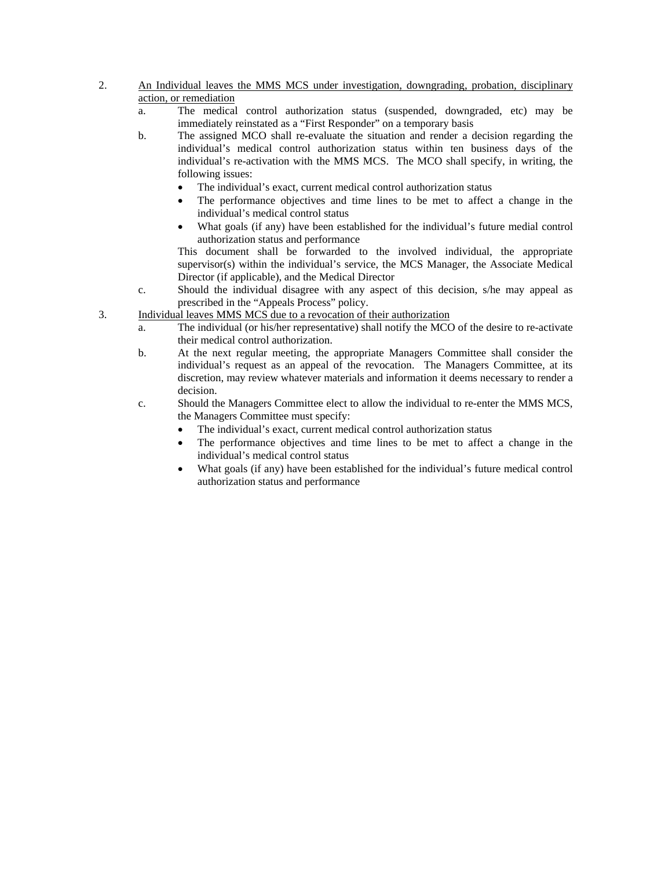- 2. An Individual leaves the MMS MCS under investigation, downgrading, probation, disciplinary action, or remediation
	- a. The medical control authorization status (suspended, downgraded, etc) may be immediately reinstated as a "First Responder" on a temporary basis
	- b. The assigned MCO shall re-evaluate the situation and render a decision regarding the individual's medical control authorization status within ten business days of the individual's re-activation with the MMS MCS. The MCO shall specify, in writing, the following issues:
		- The individual's exact, current medical control authorization status
		- The performance objectives and time lines to be met to affect a change in the individual's medical control status
		- What goals (if any) have been established for the individual's future medial control authorization status and performance

 This document shall be forwarded to the involved individual, the appropriate supervisor(s) within the individual's service, the MCS Manager, the Associate Medical Director (if applicable), and the Medical Director

- c. Should the individual disagree with any aspect of this decision, s/he may appeal as prescribed in the "Appeals Process" policy.
- 3. Individual leaves MMS MCS due to a revocation of their authorization
	- a. The individual (or his/her representative) shall notify the MCO of the desire to re-activate their medical control authorization.
	- b. At the next regular meeting, the appropriate Managers Committee shall consider the individual's request as an appeal of the revocation. The Managers Committee, at its discretion, may review whatever materials and information it deems necessary to render a decision.
	- c. Should the Managers Committee elect to allow the individual to re-enter the MMS MCS, the Managers Committee must specify:
		- The individual's exact, current medical control authorization status
		- The performance objectives and time lines to be met to affect a change in the individual's medical control status
		- What goals (if any) have been established for the individual's future medical control authorization status and performance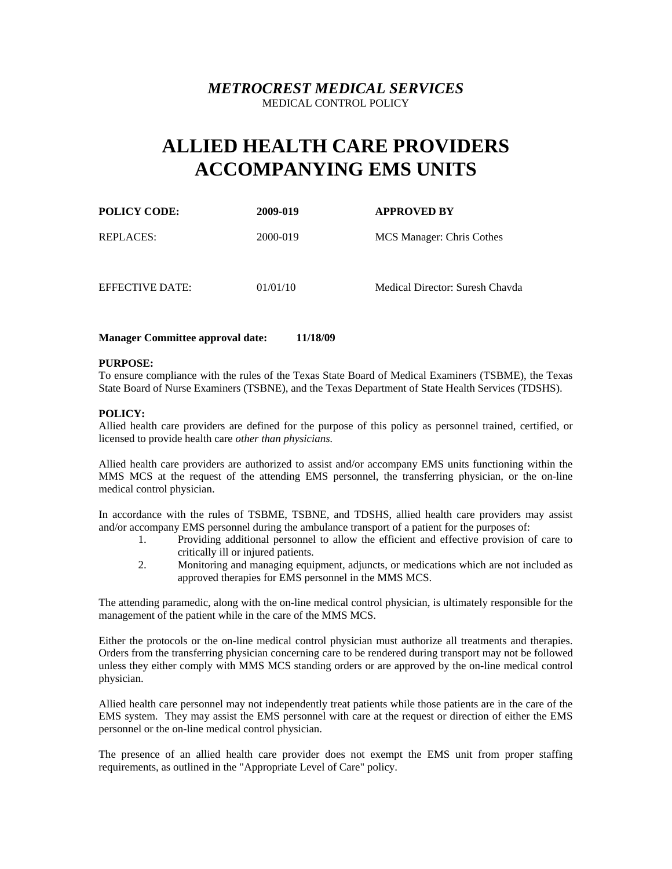# **ALLIED HEALTH CARE PROVIDERS ACCOMPANYING EMS UNITS**

| <b>POLICY CODE:</b> | 2009-019 | <b>APPROVED BY</b>              |
|---------------------|----------|---------------------------------|
| REPLACES:           | 2000-019 | MCS Manager: Chris Cothes       |
| EFFECTIVE DATE:     | 01/01/10 | Medical Director: Suresh Chavda |

## **Manager Committee approval date: 11/18/09**

## **PURPOSE:**

To ensure compliance with the rules of the Texas State Board of Medical Examiners (TSBME), the Texas State Board of Nurse Examiners (TSBNE), and the Texas Department of State Health Services (TDSHS).

## **POLICY:**

Allied health care providers are defined for the purpose of this policy as personnel trained, certified, or licensed to provide health care *other than physicians.*

Allied health care providers are authorized to assist and/or accompany EMS units functioning within the MMS MCS at the request of the attending EMS personnel, the transferring physician, or the on-line medical control physician.

In accordance with the rules of TSBME, TSBNE, and TDSHS, allied health care providers may assist and/or accompany EMS personnel during the ambulance transport of a patient for the purposes of:

- 1. Providing additional personnel to allow the efficient and effective provision of care to critically ill or injured patients.
- 2. Monitoring and managing equipment, adjuncts, or medications which are not included as approved therapies for EMS personnel in the MMS MCS.

The attending paramedic, along with the on-line medical control physician, is ultimately responsible for the management of the patient while in the care of the MMS MCS.

Either the protocols or the on-line medical control physician must authorize all treatments and therapies. Orders from the transferring physician concerning care to be rendered during transport may not be followed unless they either comply with MMS MCS standing orders or are approved by the on-line medical control physician.

Allied health care personnel may not independently treat patients while those patients are in the care of the EMS system. They may assist the EMS personnel with care at the request or direction of either the EMS personnel or the on-line medical control physician.

The presence of an allied health care provider does not exempt the EMS unit from proper staffing requirements, as outlined in the "Appropriate Level of Care" policy.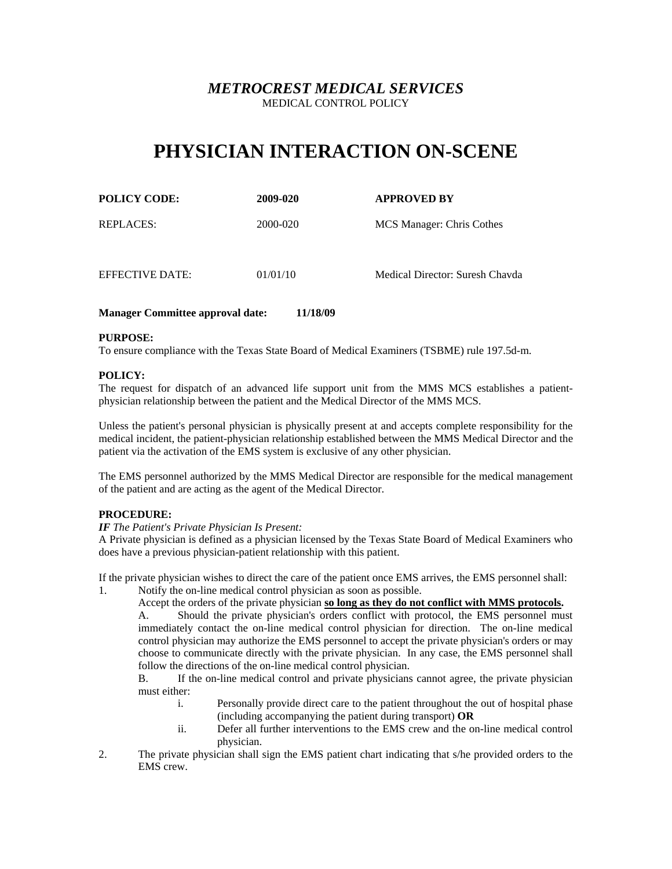# **PHYSICIAN INTERACTION ON-SCENE**

| <b>POLICY CODE:</b> | 2009-020 | <b>APPROVED BY</b>              |
|---------------------|----------|---------------------------------|
| REPLACES:           | 2000-020 | MCS Manager: Chris Cothes       |
| EFFECTIVE DATE:     | 01/01/10 | Medical Director: Suresh Chavda |

## **Manager Committee approval date: 11/18/09**

## **PURPOSE:**

To ensure compliance with the Texas State Board of Medical Examiners (TSBME) rule 197.5d-m.

## **POLICY:**

The request for dispatch of an advanced life support unit from the MMS MCS establishes a patientphysician relationship between the patient and the Medical Director of the MMS MCS.

Unless the patient's personal physician is physically present at and accepts complete responsibility for the medical incident, the patient-physician relationship established between the MMS Medical Director and the patient via the activation of the EMS system is exclusive of any other physician.

The EMS personnel authorized by the MMS Medical Director are responsible for the medical management of the patient and are acting as the agent of the Medical Director.

## **PROCEDURE:**

### *IF The Patient's Private Physician Is Present:*

A Private physician is defined as a physician licensed by the Texas State Board of Medical Examiners who does have a previous physician-patient relationship with this patient.

If the private physician wishes to direct the care of the patient once EMS arrives, the EMS personnel shall:

1. Notify the on-line medical control physician as soon as possible.

Accept the orders of the private physician **so long as they do not conflict with MMS protocols.**

A. Should the private physician's orders conflict with protocol, the EMS personnel must immediately contact the on-line medical control physician for direction. The on-line medical control physician may authorize the EMS personnel to accept the private physician's orders or may choose to communicate directly with the private physician. In any case, the EMS personnel shall follow the directions of the on-line medical control physician.

B. If the on-line medical control and private physicians cannot agree, the private physician must either:

- i. Personally provide direct care to the patient throughout the out of hospital phase (including accompanying the patient during transport) **OR**
- ii. Defer all further interventions to the EMS crew and the on-line medical control physician.
- 2. The private physician shall sign the EMS patient chart indicating that s/he provided orders to the EMS crew.